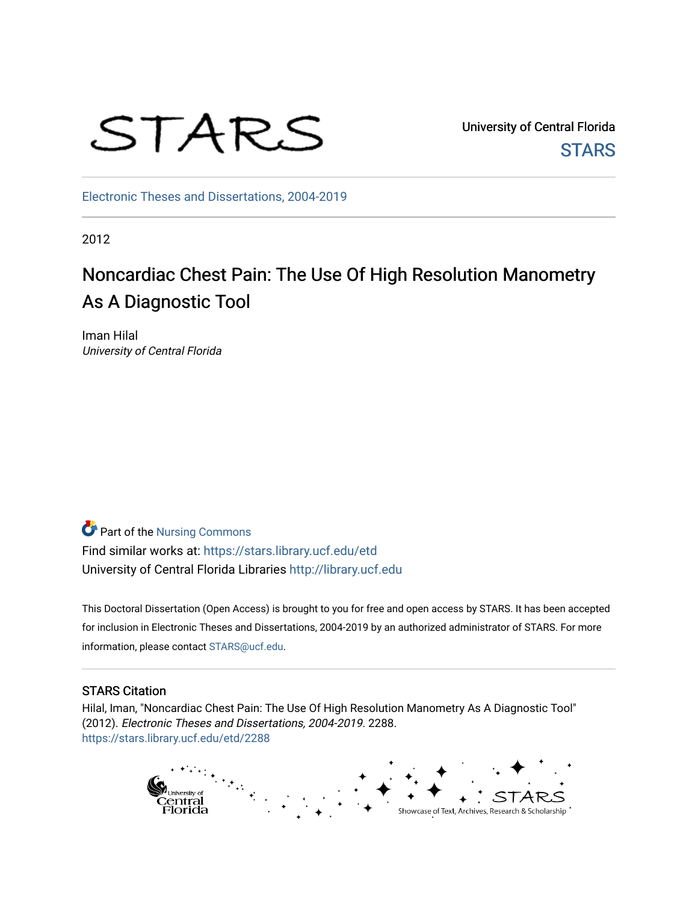

University of Central Florida **STARS** 

[Electronic Theses and Dissertations, 2004-2019](https://stars.library.ucf.edu/etd) 

2012

# Noncardiac Chest Pain: The Use Of High Resolution Manometry As A Diagnostic Tool

Iman Hilal University of Central Florida

**Part of the Nursing Commons** Find similar works at: <https://stars.library.ucf.edu/etd> University of Central Florida Libraries [http://library.ucf.edu](http://library.ucf.edu/) 

This Doctoral Dissertation (Open Access) is brought to you for free and open access by STARS. It has been accepted for inclusion in Electronic Theses and Dissertations, 2004-2019 by an authorized administrator of STARS. For more information, please contact [STARS@ucf.edu.](mailto:STARS@ucf.edu)

### STARS Citation

Hilal, Iman, "Noncardiac Chest Pain: The Use Of High Resolution Manometry As A Diagnostic Tool" (2012). Electronic Theses and Dissertations, 2004-2019. 2288. [https://stars.library.ucf.edu/etd/2288](https://stars.library.ucf.edu/etd/2288?utm_source=stars.library.ucf.edu%2Fetd%2F2288&utm_medium=PDF&utm_campaign=PDFCoverPages) 

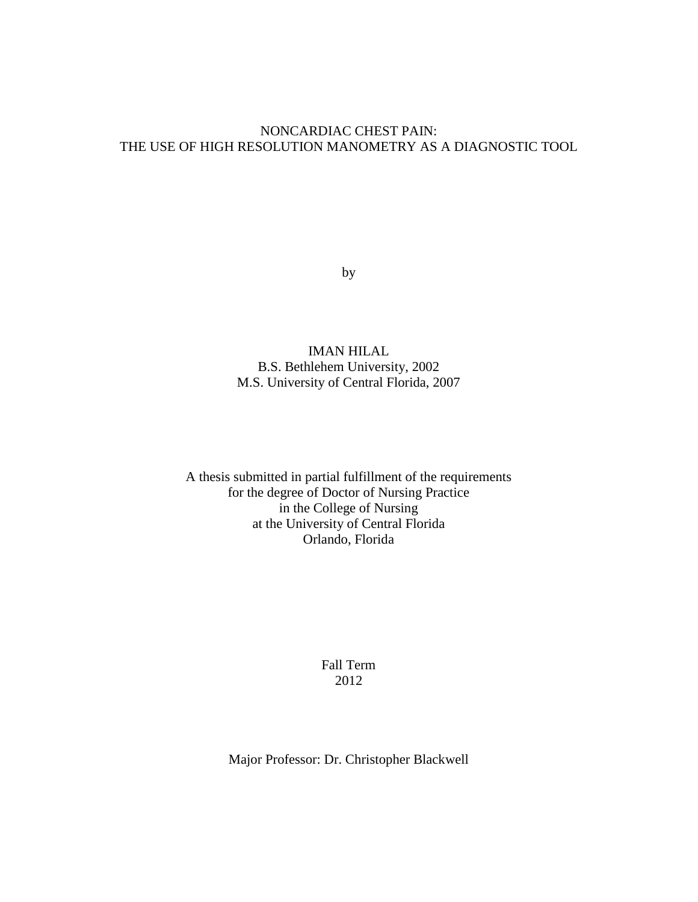### NONCARDIAC CHEST PAIN: THE USE OF HIGH RESOLUTION MANOMETRY AS A DIAGNOSTIC TOOL

by

IMAN HILAL B.S. Bethlehem University, 2002 M.S. University of Central Florida, 2007

A thesis submitted in partial fulfillment of the requirements for the degree of Doctor of Nursing Practice in the College of Nursing at the University of Central Florida Orlando, Florida

> Fall Term 2012

Major Professor: Dr. Christopher Blackwell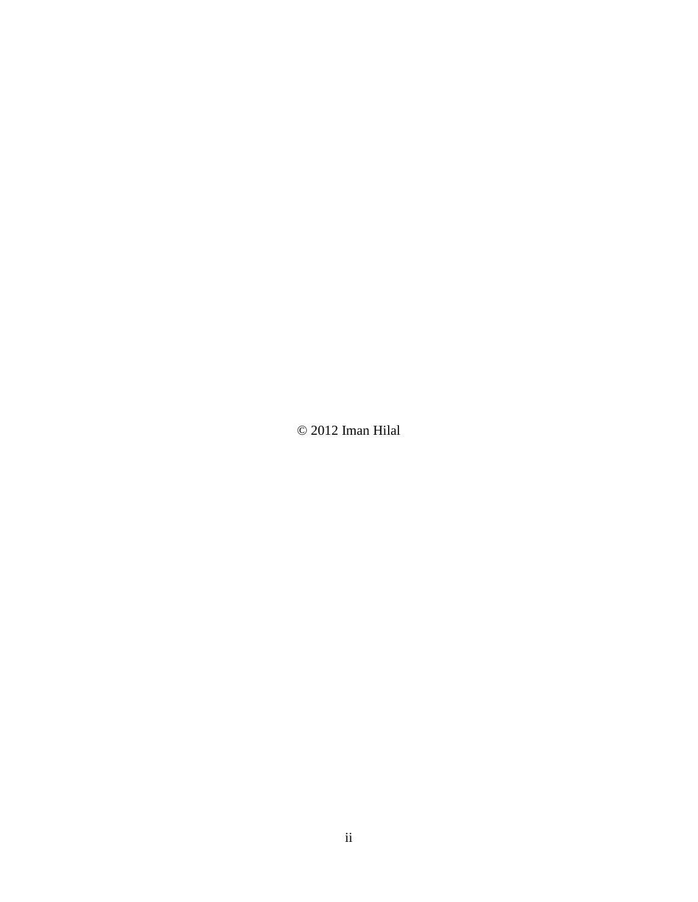© 2012 Iman Hilal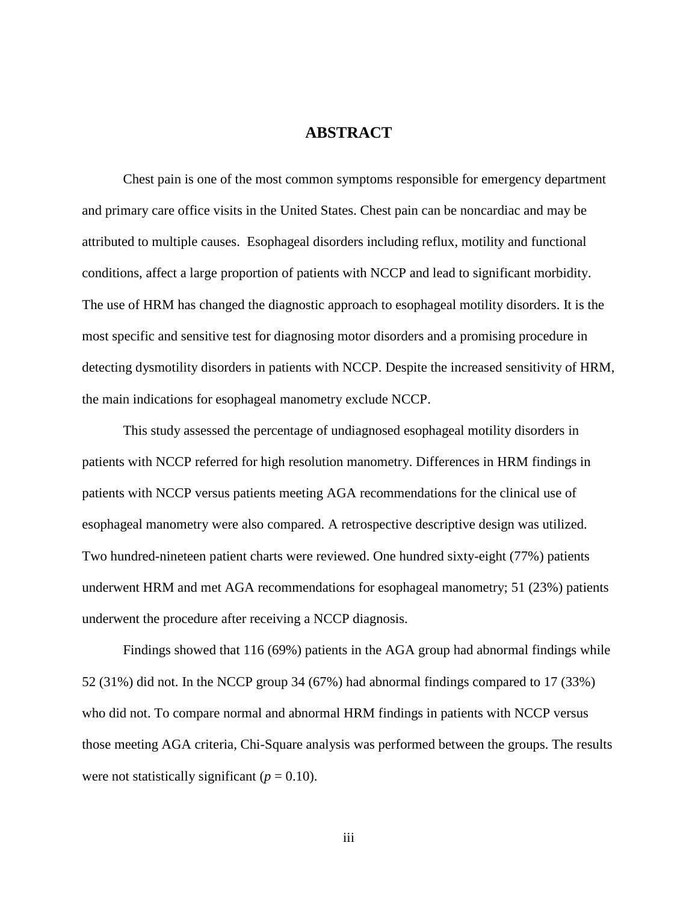### **ABSTRACT**

Chest pain is one of the most common symptoms responsible for emergency department and primary care office visits in the United States. Chest pain can be noncardiac and may be attributed to multiple causes. Esophageal disorders including reflux, motility and functional conditions, affect a large proportion of patients with NCCP and lead to significant morbidity. The use of HRM has changed the diagnostic approach to esophageal motility disorders. It is the most specific and sensitive test for diagnosing motor disorders and a promising procedure in detecting dysmotility disorders in patients with NCCP. Despite the increased sensitivity of HRM, the main indications for esophageal manometry exclude NCCP.

This study assessed the percentage of undiagnosed esophageal motility disorders in patients with NCCP referred for high resolution manometry. Differences in HRM findings in patients with NCCP versus patients meeting AGA recommendations for the clinical use of esophageal manometry were also compared. A retrospective descriptive design was utilized. Two hundred-nineteen patient charts were reviewed. One hundred sixty-eight (77%) patients underwent HRM and met AGA recommendations for esophageal manometry; 51 (23%) patients underwent the procedure after receiving a NCCP diagnosis.

Findings showed that 116 (69%) patients in the AGA group had abnormal findings while 52 (31%) did not. In the NCCP group 34 (67%) had abnormal findings compared to 17 (33%) who did not. To compare normal and abnormal HRM findings in patients with NCCP versus those meeting AGA criteria, Chi-Square analysis was performed between the groups. The results were not statistically significant  $(p = 0.10)$ .

iii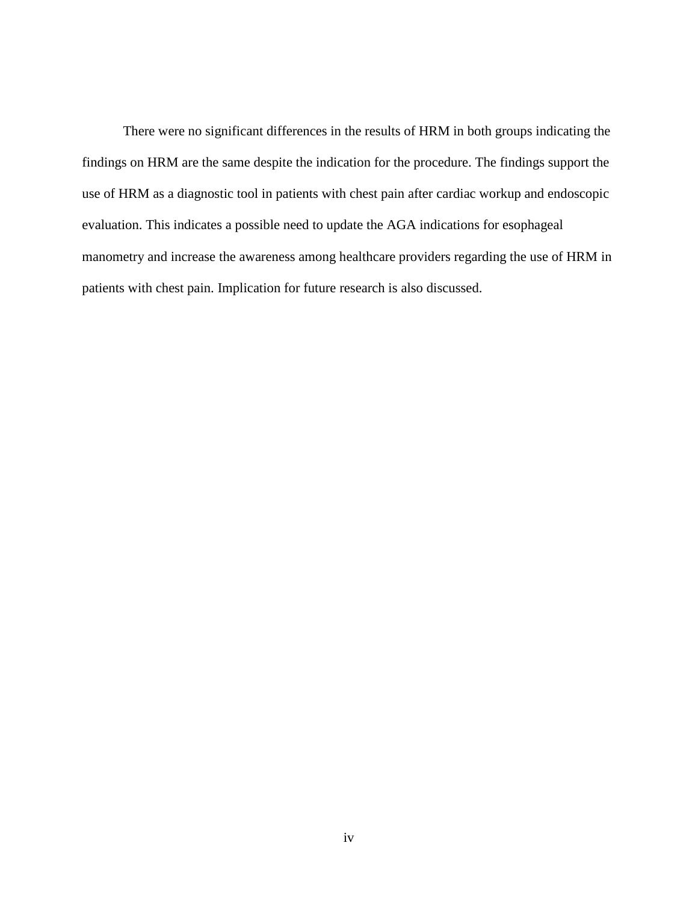There were no significant differences in the results of HRM in both groups indicating the findings on HRM are the same despite the indication for the procedure. The findings support the use of HRM as a diagnostic tool in patients with chest pain after cardiac workup and endoscopic evaluation. This indicates a possible need to update the AGA indications for esophageal manometry and increase the awareness among healthcare providers regarding the use of HRM in patients with chest pain. Implication for future research is also discussed.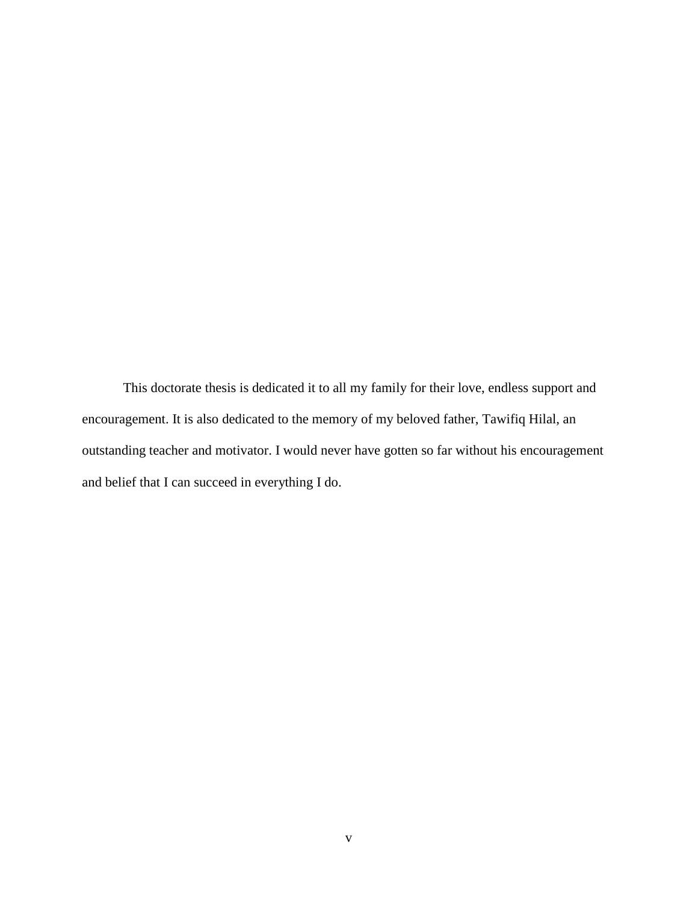This doctorate thesis is dedicated it to all my family for their love, endless support and encouragement. It is also dedicated to the memory of my beloved father, Tawifiq Hilal, an outstanding teacher and motivator. I would never have gotten so far without his encouragement and belief that I can succeed in everything I do.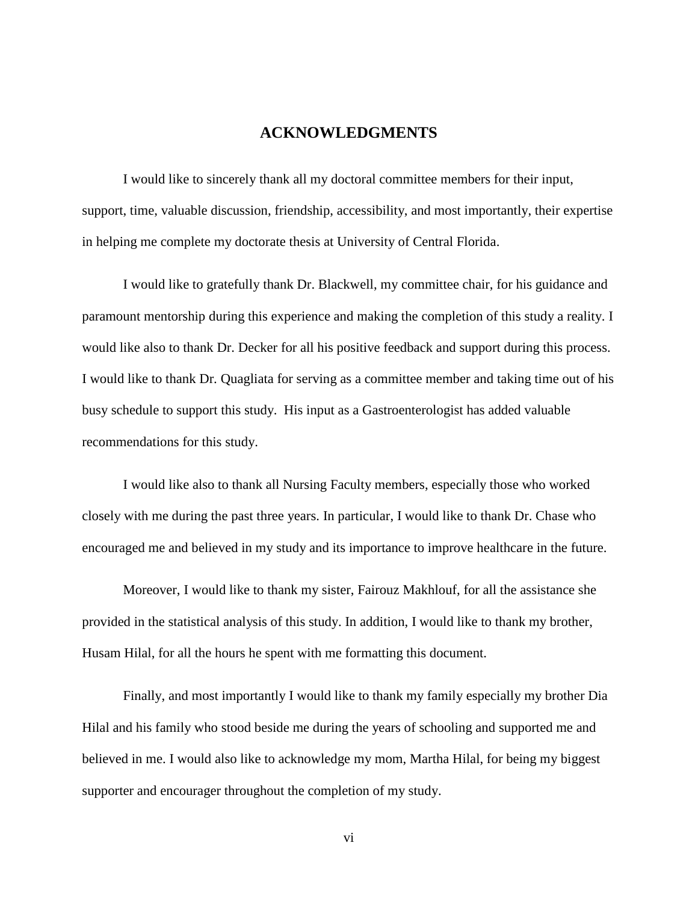### **ACKNOWLEDGMENTS**

I would like to sincerely thank all my doctoral committee members for their input, support, time, valuable discussion, friendship, accessibility, and most importantly, their expertise in helping me complete my doctorate thesis at University of Central Florida.

I would like to gratefully thank Dr. Blackwell, my committee chair, for his guidance and paramount mentorship during this experience and making the completion of this study a reality. I would like also to thank Dr. Decker for all his positive feedback and support during this process. I would like to thank Dr. Quagliata for serving as a committee member and taking time out of his busy schedule to support this study. His input as a Gastroenterologist has added valuable recommendations for this study.

I would like also to thank all Nursing Faculty members, especially those who worked closely with me during the past three years. In particular, I would like to thank Dr. Chase who encouraged me and believed in my study and its importance to improve healthcare in the future.

Moreover, I would like to thank my sister, Fairouz Makhlouf, for all the assistance she provided in the statistical analysis of this study. In addition, I would like to thank my brother, Husam Hilal, for all the hours he spent with me formatting this document.

Finally, and most importantly I would like to thank my family especially my brother Dia Hilal and his family who stood beside me during the years of schooling and supported me and believed in me. I would also like to acknowledge my mom, Martha Hilal, for being my biggest supporter and encourager throughout the completion of my study.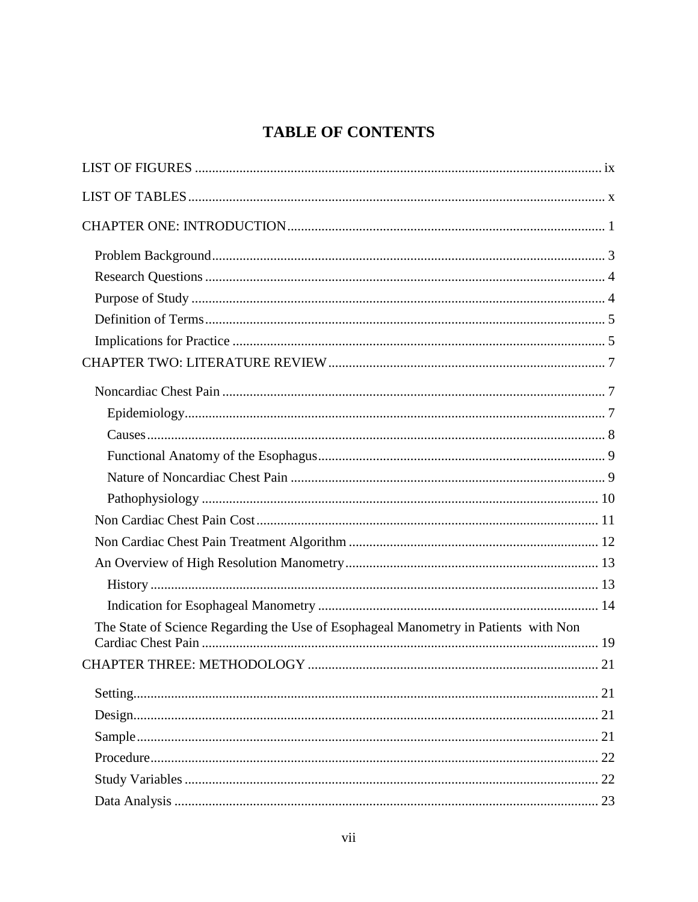## **TABLE OF CONTENTS**

| The State of Science Regarding the Use of Esophageal Manometry in Patients with Non |    |
|-------------------------------------------------------------------------------------|----|
| CHAPTER THREE: METHODOLOGY                                                          | 21 |
|                                                                                     |    |
|                                                                                     |    |
|                                                                                     |    |
|                                                                                     |    |
|                                                                                     |    |
|                                                                                     |    |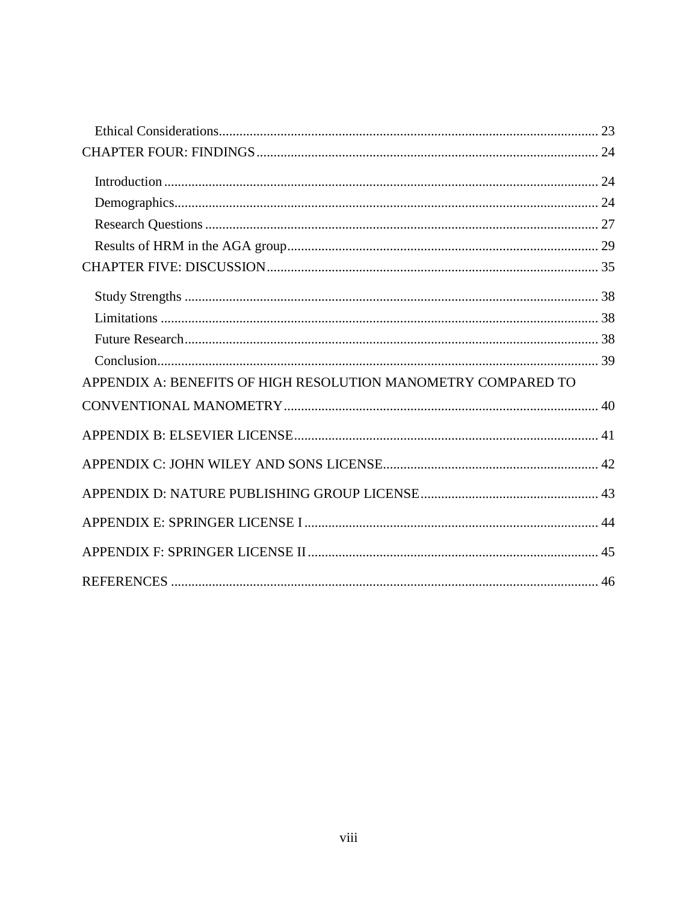| APPENDIX A: BENEFITS OF HIGH RESOLUTION MANOMETRY COMPARED TO |
|---------------------------------------------------------------|
|                                                               |
|                                                               |
|                                                               |
|                                                               |
|                                                               |
|                                                               |
|                                                               |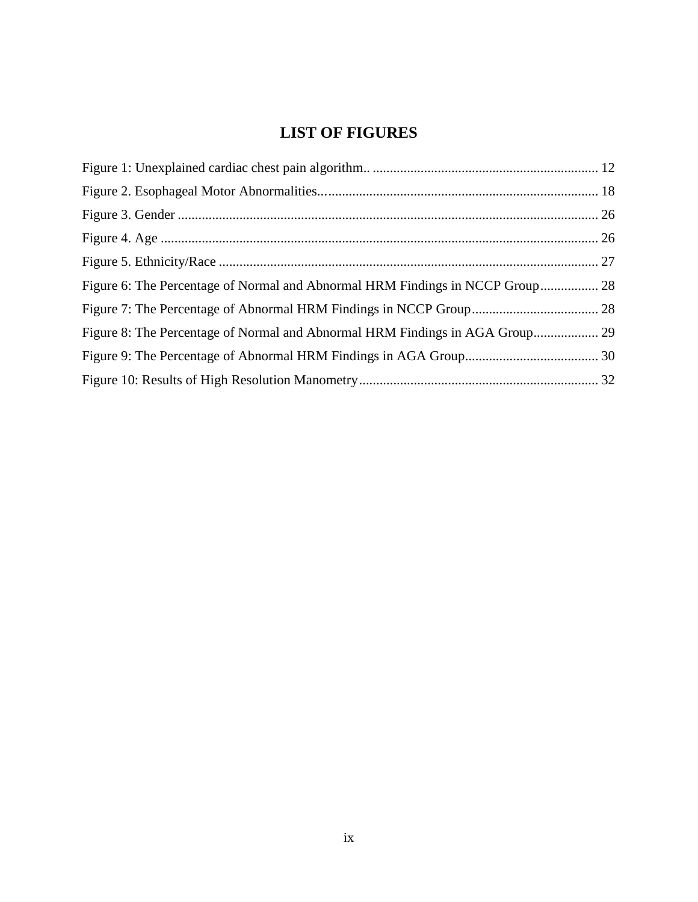## **LIST OF FIGURES**

<span id="page-9-0"></span>

| Figure 6: The Percentage of Normal and Abnormal HRM Findings in NCCP Group 28 |  |
|-------------------------------------------------------------------------------|--|
|                                                                               |  |
| Figure 8: The Percentage of Normal and Abnormal HRM Findings in AGA Group 29  |  |
|                                                                               |  |
|                                                                               |  |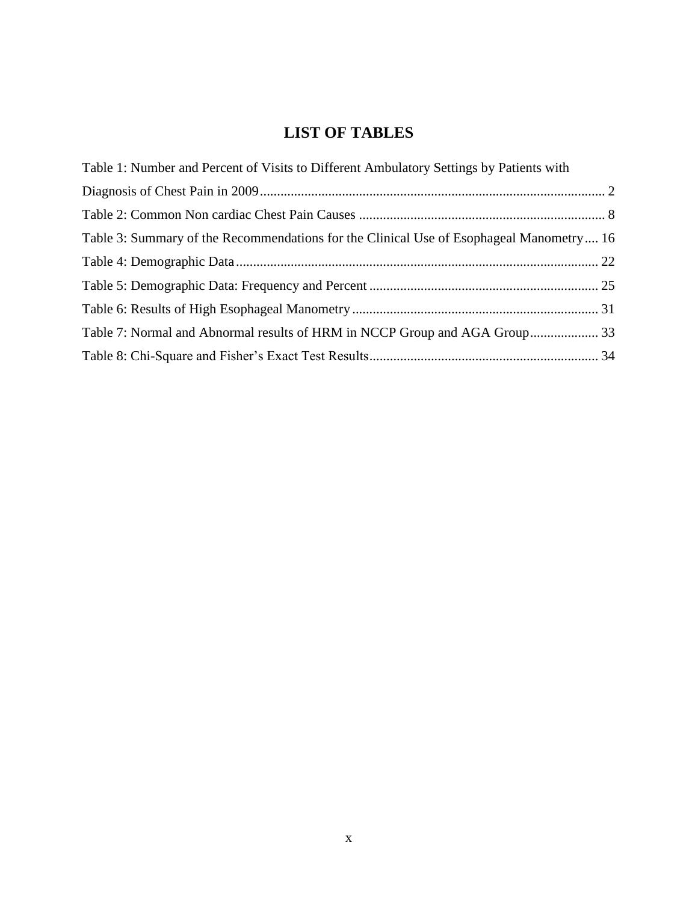## **LIST OF TABLES**

<span id="page-10-0"></span>

| Table 1: Number and Percent of Visits to Different Ambulatory Settings by Patients with |  |
|-----------------------------------------------------------------------------------------|--|
|                                                                                         |  |
|                                                                                         |  |
| Table 3: Summary of the Recommendations for the Clinical Use of Esophageal Manometry 16 |  |
|                                                                                         |  |
|                                                                                         |  |
|                                                                                         |  |
|                                                                                         |  |
|                                                                                         |  |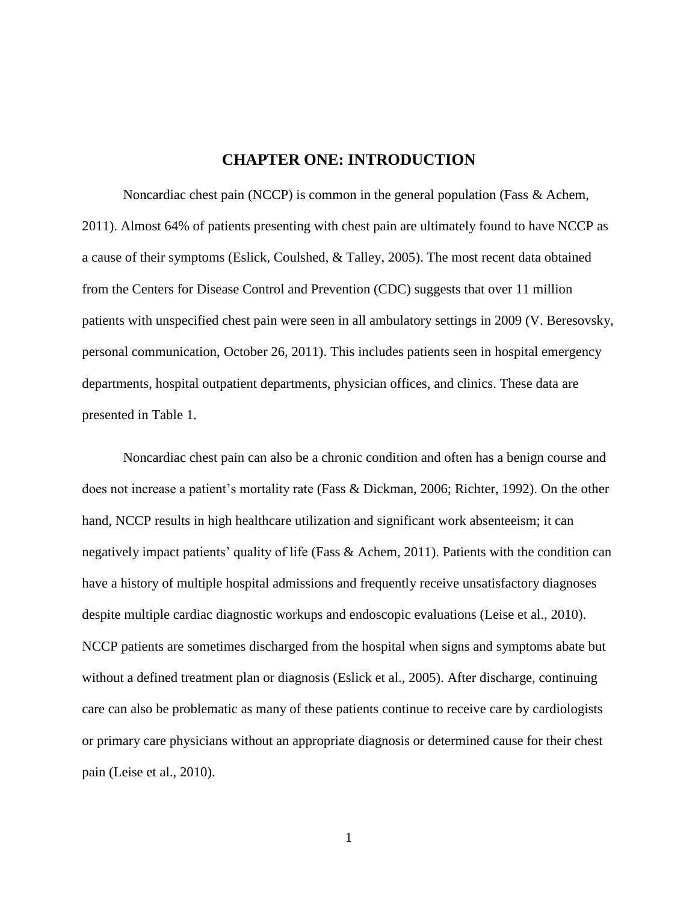### **CHAPTER ONE: INTRODUCTION**

<span id="page-11-0"></span>Noncardiac chest pain (NCCP) is common in the general population (Fass  $\&$  Achem, 2011). Almost 64% of patients presenting with chest pain are ultimately found to have NCCP as a cause of their symptoms (Eslick, Coulshed, & Talley, 2005). The most recent data obtained from the Centers for Disease Control and Prevention (CDC) suggests that over 11 million patients with unspecified chest pain were seen in all ambulatory settings in 2009 (V. Beresovsky, personal communication, October 26, 2011). This includes patients seen in hospital emergency departments, hospital outpatient departments, physician offices, and clinics. These data are presented in Table 1.

Noncardiac chest pain can also be a chronic condition and often has a benign course and does not increase a patient's mortality rate (Fass & Dickman, 2006; Richter, 1992). On the other hand, NCCP results in high healthcare utilization and significant work absenteeism; it can negatively impact patients' quality of life (Fass & Achem, 2011). Patients with the condition can have a history of multiple hospital admissions and frequently receive unsatisfactory diagnoses despite multiple cardiac diagnostic workups and endoscopic evaluations (Leise et al., 2010). NCCP patients are sometimes discharged from the hospital when signs and symptoms abate but without a defined treatment plan or diagnosis (Eslick et al., 2005). After discharge, continuing care can also be problematic as many of these patients continue to receive care by cardiologists or primary care physicians without an appropriate diagnosis or determined cause for their chest pain (Leise et al., 2010).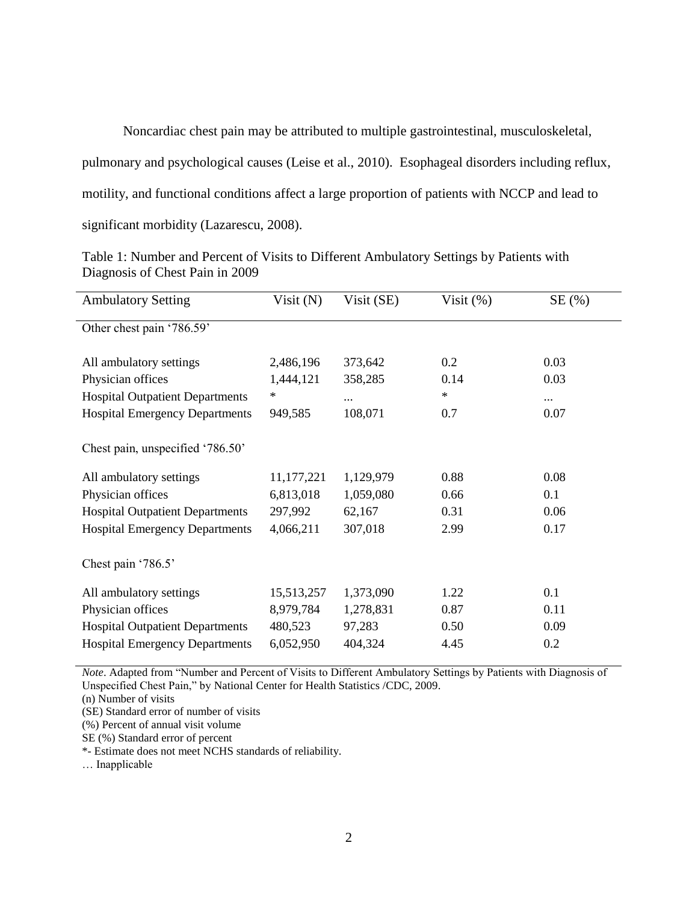Noncardiac chest pain may be attributed to multiple gastrointestinal, musculoskeletal,

pulmonary and psychological causes (Leise et al., 2010). Esophageal disorders including reflux,

motility, and functional conditions affect a large proportion of patients with NCCP and lead to

significant morbidity (Lazarescu, 2008).

| <b>Ambulatory Setting</b>              | Visit $(N)$ | Visit (SE) | Visit $(\%)$ | SE(%)    |
|----------------------------------------|-------------|------------|--------------|----------|
| Other chest pain '786.59'              |             |            |              |          |
| All ambulatory settings                | 2,486,196   | 373,642    | 0.2          | 0.03     |
| Physician offices                      | 1,444,121   | 358,285    | 0.14         | 0.03     |
| <b>Hospital Outpatient Departments</b> | $\ast$      | $\cdots$   | $\ast$       | $\cdots$ |
| <b>Hospital Emergency Departments</b>  | 949,585     | 108,071    | 0.7          | 0.07     |
| Chest pain, unspecified '786.50'       |             |            |              |          |
| All ambulatory settings                | 11,177,221  | 1,129,979  | 0.88         | 0.08     |
| Physician offices                      | 6,813,018   | 1,059,080  | 0.66         | 0.1      |
| <b>Hospital Outpatient Departments</b> | 297,992     | 62,167     | 0.31         | 0.06     |
| <b>Hospital Emergency Departments</b>  | 4,066,211   | 307,018    | 2.99         | 0.17     |
| Chest pain '786.5'                     |             |            |              |          |
| All ambulatory settings                | 15,513,257  | 1,373,090  | 1.22         | 0.1      |
| Physician offices                      | 8,979,784   | 1,278,831  | 0.87         | 0.11     |
| <b>Hospital Outpatient Departments</b> | 480,523     | 97,283     | 0.50         | 0.09     |
| <b>Hospital Emergency Departments</b>  | 6,052,950   | 404,324    | 4.45         | 0.2      |

<span id="page-12-0"></span>Table 1: Number and Percent of Visits to Different Ambulatory Settings by Patients with Diagnosis of Chest Pain in 2009

*Note*. Adapted from "Number and Percent of Visits to Different Ambulatory Settings by Patients with Diagnosis of Unspecified Chest Pain," by National Center for Health Statistics /CDC, 2009.

(n) Number of visits

(SE) Standard error of number of visits

(%) Percent of annual visit volume

SE (%) Standard error of percent

\*- Estimate does not meet NCHS standards of reliability.

… Inapplicable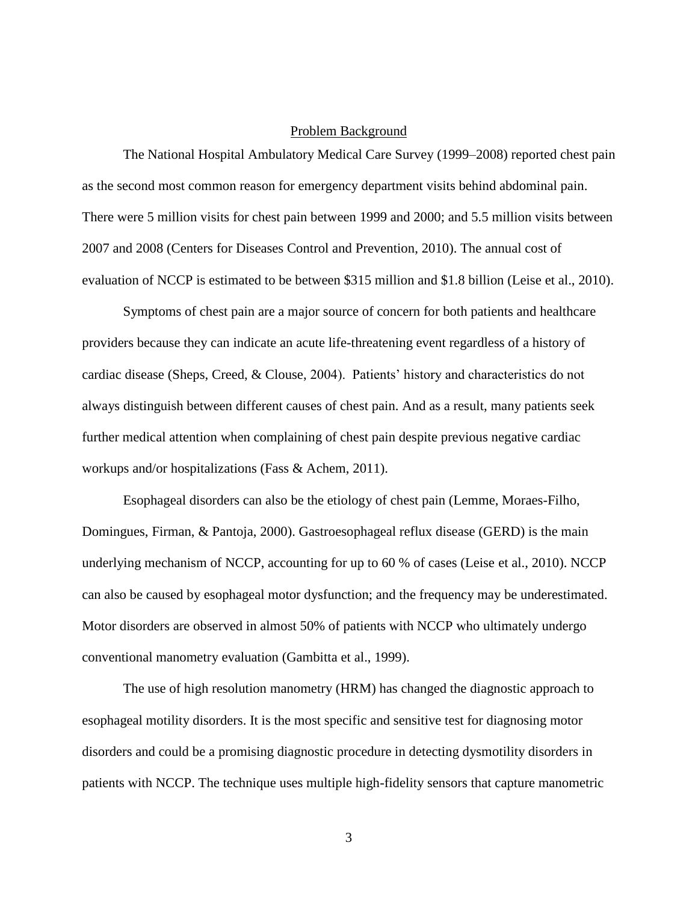### Problem Background

<span id="page-13-0"></span>The National Hospital Ambulatory Medical Care Survey (1999–2008) reported chest pain as the second most common reason for emergency department visits behind abdominal pain. There were 5 million visits for chest pain between 1999 and 2000; and 5.5 million visits between 2007 and 2008 (Centers for Diseases Control and Prevention, 2010). The annual cost of evaluation of NCCP is estimated to be between \$315 million and \$1.8 billion (Leise et al., 2010).

Symptoms of chest pain are a major source of concern for both patients and healthcare providers because they can indicate an acute life-threatening event regardless of a history of cardiac disease (Sheps, Creed, & Clouse, 2004). Patients' history and characteristics do not always distinguish between different causes of chest pain. And as a result, many patients seek further medical attention when complaining of chest pain despite previous negative cardiac workups and/or hospitalizations (Fass & Achem, 2011).

Esophageal disorders can also be the etiology of chest pain (Lemme, Moraes-Filho, Domingues, Firman, & Pantoja, 2000). Gastroesophageal reflux disease (GERD) is the main underlying mechanism of NCCP, accounting for up to 60 % of cases (Leise et al., 2010). NCCP can also be caused by esophageal motor dysfunction; and the frequency may be underestimated. Motor disorders are observed in almost 50% of patients with NCCP who ultimately undergo conventional manometry evaluation (Gambitta et al., 1999).

The use of high resolution manometry (HRM) has changed the diagnostic approach to esophageal motility disorders. It is the most specific and sensitive test for diagnosing motor disorders and could be a promising diagnostic procedure in detecting dysmotility disorders in patients with NCCP. The technique uses multiple high-fidelity sensors that capture manometric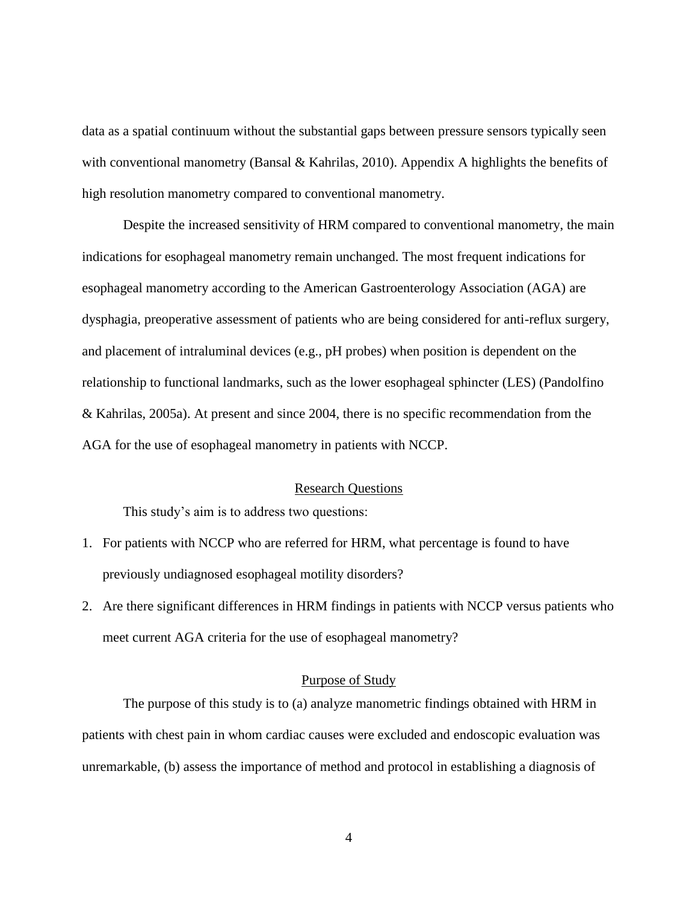data as a spatial continuum without the substantial gaps between pressure sensors typically seen with conventional manometry (Bansal & Kahrilas, 2010). Appendix A highlights the benefits of high resolution manometry compared to conventional manometry.

Despite the increased sensitivity of HRM compared to conventional manometry, the main indications for esophageal manometry remain unchanged. The most frequent indications for esophageal manometry according to the American Gastroenterology Association (AGA) are dysphagia, preoperative assessment of patients who are being considered for anti-reflux surgery, and placement of intraluminal devices (e.g., pH probes) when position is dependent on the relationship to functional landmarks, such as the lower esophageal sphincter (LES) (Pandolfino & Kahrilas, 2005a). At present and since 2004, there is no specific recommendation from the AGA for the use of esophageal manometry in patients with NCCP.

### Research Questions

<span id="page-14-0"></span>This study's aim is to address two questions:

- 1. For patients with NCCP who are referred for HRM, what percentage is found to have previously undiagnosed esophageal motility disorders?
- 2. Are there significant differences in HRM findings in patients with NCCP versus patients who meet current AGA criteria for the use of esophageal manometry?

#### Purpose of Study

<span id="page-14-1"></span>The purpose of this study is to (a) analyze manometric findings obtained with HRM in patients with chest pain in whom cardiac causes were excluded and endoscopic evaluation was unremarkable, (b) assess the importance of method and protocol in establishing a diagnosis of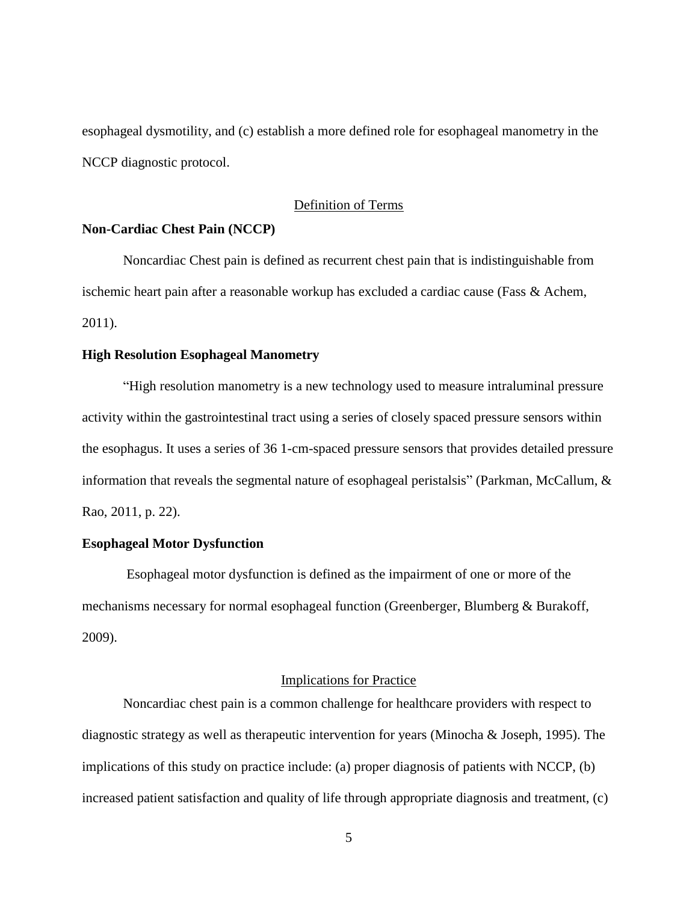esophageal dysmotility, and (c) establish a more defined role for esophageal manometry in the NCCP diagnostic protocol.

### Definition of Terms

### <span id="page-15-0"></span>**Non-Cardiac Chest Pain (NCCP)**

Noncardiac Chest pain is defined as recurrent chest pain that is indistinguishable from ischemic heart pain after a reasonable workup has excluded a cardiac cause (Fass & Achem, 2011).

#### **High Resolution Esophageal Manometry**

"High resolution manometry is a new technology used to measure intraluminal pressure activity within the gastrointestinal tract using a series of closely spaced pressure sensors within the esophagus. It uses a series of 36 1-cm-spaced pressure sensors that provides detailed pressure information that reveals the segmental nature of esophageal peristalsis" (Parkman, McCallum, & Rao, 2011, p. 22).

### **Esophageal Motor Dysfunction**

Esophageal motor dysfunction is defined as the impairment of one or more of the mechanisms necessary for normal esophageal function (Greenberger, Blumberg & Burakoff, 2009).

#### Implications for Practice

<span id="page-15-1"></span>Noncardiac chest pain is a common challenge for healthcare providers with respect to diagnostic strategy as well as therapeutic intervention for years (Minocha & Joseph, 1995). The implications of this study on practice include: (a) proper diagnosis of patients with NCCP, (b) increased patient satisfaction and quality of life through appropriate diagnosis and treatment, (c)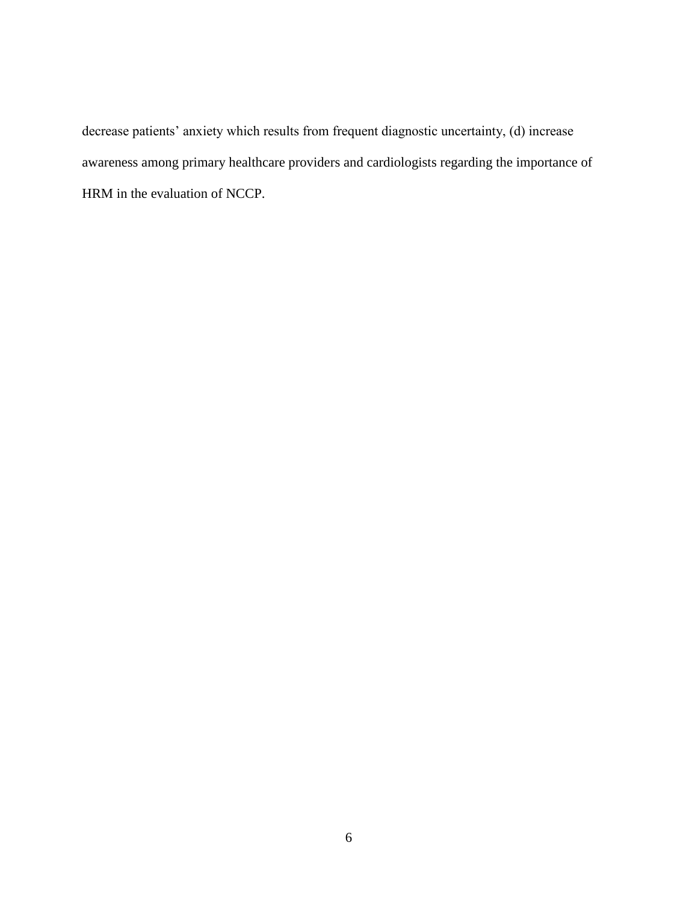decrease patients' anxiety which results from frequent diagnostic uncertainty, (d) increase awareness among primary healthcare providers and cardiologists regarding the importance of HRM in the evaluation of NCCP.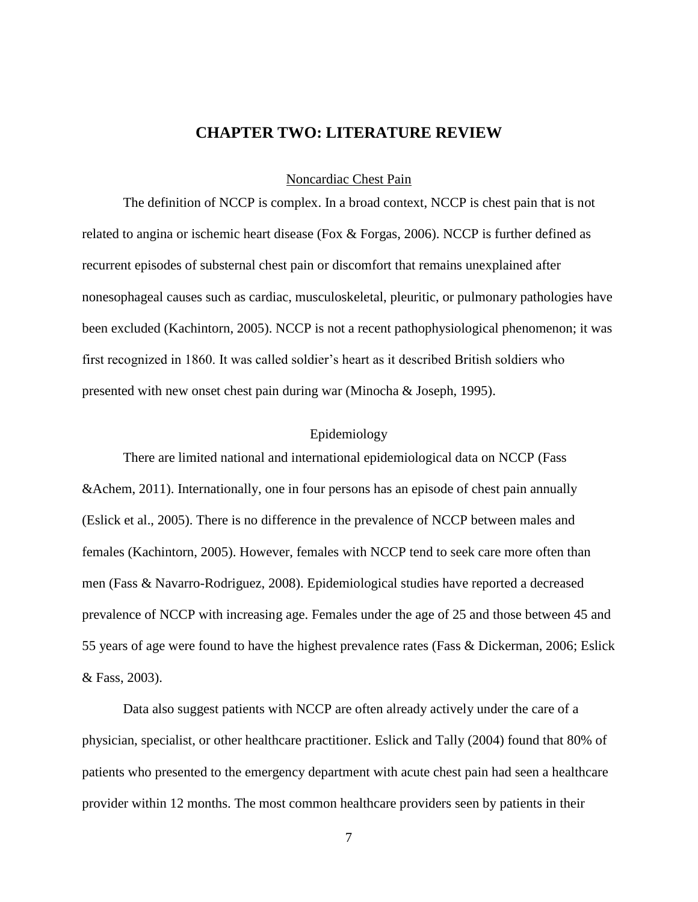### **CHAPTER TWO: LITERATURE REVIEW**

Noncardiac Chest Pain

<span id="page-17-1"></span><span id="page-17-0"></span>The definition of NCCP is complex. In a broad context, NCCP is chest pain that is not related to angina or ischemic heart disease (Fox & Forgas, 2006). NCCP is further defined as recurrent episodes of substernal chest pain or discomfort that remains unexplained after nonesophageal causes such as cardiac, musculoskeletal, pleuritic, or pulmonary pathologies have been excluded (Kachintorn, 2005). NCCP is not a recent pathophysiological phenomenon; it was first recognized in 1860. It was called soldier's heart as it described British soldiers who presented with new onset chest pain during war (Minocha & Joseph, 1995).

### Epidemiology

<span id="page-17-2"></span>There are limited national and international epidemiological data on NCCP (Fass &Achem, 2011). Internationally, one in four persons has an episode of chest pain annually (Eslick et al., 2005). There is no difference in the prevalence of NCCP between males and females (Kachintorn, 2005). However, females with NCCP tend to seek care more often than men (Fass & Navarro-Rodriguez, 2008). Epidemiological studies have reported a decreased prevalence of NCCP with increasing age. Females under the age of 25 and those between 45 and 55 years of age were found to have the highest prevalence rates (Fass & Dickerman, 2006; Eslick & Fass, 2003).

Data also suggest patients with NCCP are often already actively under the care of a physician, specialist, or other healthcare practitioner. Eslick and Tally (2004) found that 80% of patients who presented to the emergency department with acute chest pain had seen a healthcare provider within 12 months. The most common healthcare providers seen by patients in their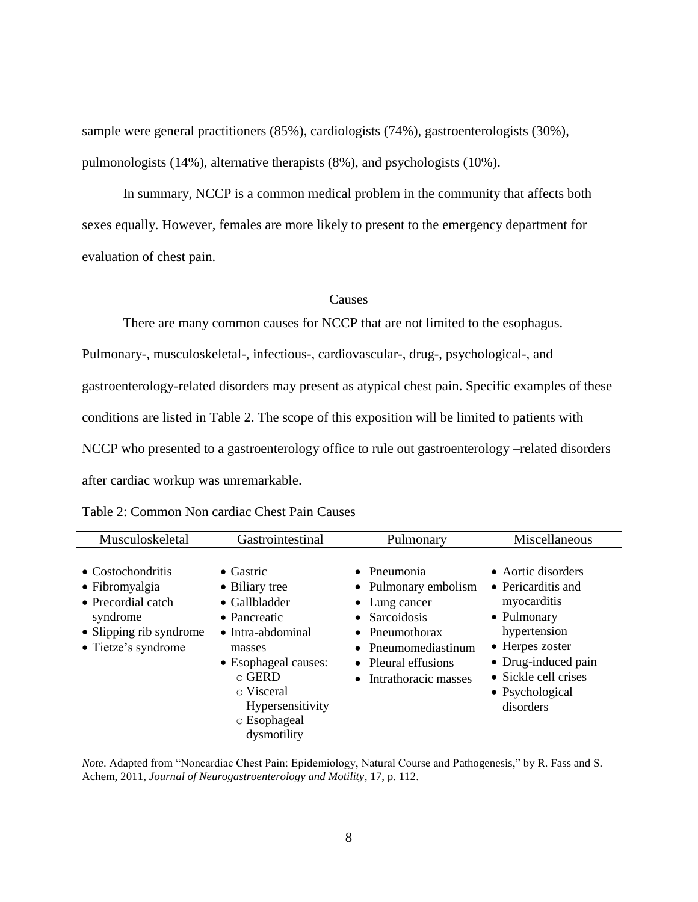sample were general practitioners (85%), cardiologists (74%), gastroenterologists (30%), pulmonologists (14%), alternative therapists (8%), and psychologists (10%).

In summary, NCCP is a common medical problem in the community that affects both sexes equally. However, females are more likely to present to the emergency department for evaluation of chest pain.

### Causes

<span id="page-18-0"></span>There are many common causes for NCCP that are not limited to the esophagus. Pulmonary-, musculoskeletal-, infectious-, cardiovascular-, drug-, psychological-, and gastroenterology-related disorders may present as atypical chest pain. Specific examples of these conditions are listed in Table 2. The scope of this exposition will be limited to patients with NCCP who presented to a gastroenterology office to rule out gastroenterology –related disorders after cardiac workup was unremarkable.

| Musculoskeletal                                                                                                         | Gastrointestinal                                                                                                                                                                                                     | Pulmonary                                                                                                                                                                                       | Miscellaneous                                                                                                                                                                            |
|-------------------------------------------------------------------------------------------------------------------------|----------------------------------------------------------------------------------------------------------------------------------------------------------------------------------------------------------------------|-------------------------------------------------------------------------------------------------------------------------------------------------------------------------------------------------|------------------------------------------------------------------------------------------------------------------------------------------------------------------------------------------|
| • Costochondritis<br>• Fibromyalgia<br>• Precordial catch<br>syndrome<br>• Slipping rib syndrome<br>• Tietze's syndrome | $\bullet$ Gastric<br>• Biliary tree<br>$\bullet$ Gallbladder<br>• Pancreatic<br>• Intra-abdominal<br>masses<br>• Esophageal causes:<br>$\circ$ GERD<br>o Visceral<br>Hypersensitivity<br>o Esophageal<br>dysmotility | $\bullet$ Pneumonia<br>• Pulmonary embolism<br>$\bullet$ Lung cancer<br>$\bullet$ Sarcoidosis<br>$\bullet$ Pneumothorax<br>• Pneumomediastinum<br>• Pleural effusions<br>• Intrathoracic masses | • Aortic disorders<br>• Pericarditis and<br>myocarditis<br>• Pulmonary<br>hypertension<br>• Herpes zoster<br>• Drug-induced pain<br>• Sickle cell crises<br>• Psychological<br>disorders |

<span id="page-18-1"></span>

| Table 2: Common Non cardiac Chest Pain Causes |  |  |  |
|-----------------------------------------------|--|--|--|
|-----------------------------------------------|--|--|--|

*Note*. Adapted from "Noncardiac Chest Pain: Epidemiology, Natural Course and Pathogenesis," by R. Fass and S. Achem, 2011, *Journal of Neurogastroenterology and Motility*, 17, p. 112.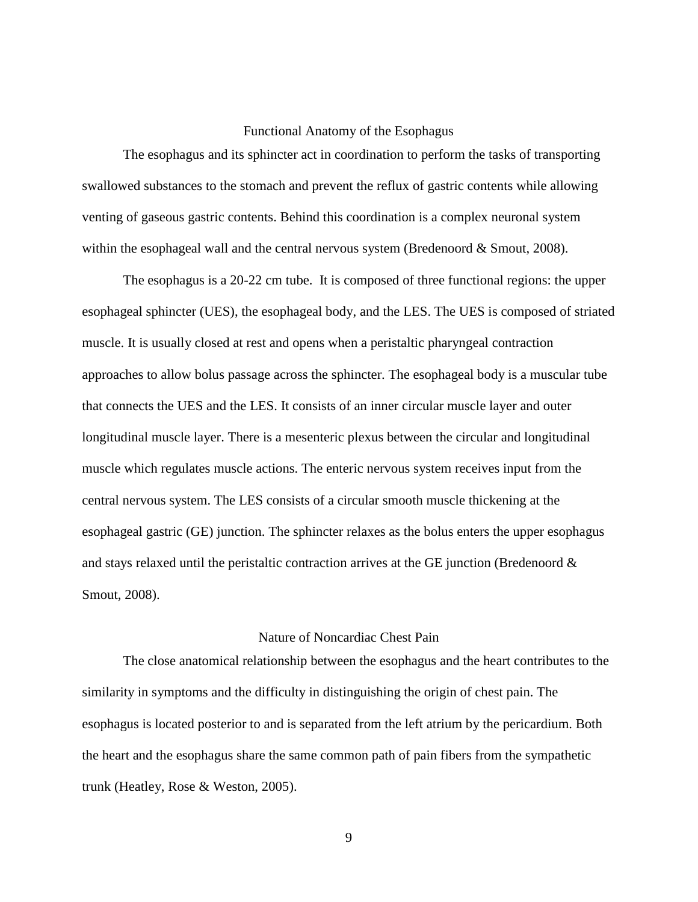### Functional Anatomy of the Esophagus

<span id="page-19-0"></span>The esophagus and its sphincter act in coordination to perform the tasks of transporting swallowed substances to the stomach and prevent the reflux of gastric contents while allowing venting of gaseous gastric contents. Behind this coordination is a complex neuronal system within the esophageal wall and the central nervous system (Bredenoord  $&$  Smout, 2008).

The esophagus is a 20-22 cm tube. It is composed of three functional regions: the upper esophageal sphincter (UES), the esophageal body, and the LES. The UES is composed of striated muscle. It is usually closed at rest and opens when a peristaltic pharyngeal contraction approaches to allow bolus passage across the sphincter. The esophageal body is a muscular tube that connects the UES and the LES. It consists of an inner circular muscle layer and outer longitudinal muscle layer. There is a mesenteric plexus between the circular and longitudinal muscle which regulates muscle actions. The enteric nervous system receives input from the central nervous system. The LES consists of a circular smooth muscle thickening at the esophageal gastric (GE) junction. The sphincter relaxes as the bolus enters the upper esophagus and stays relaxed until the peristaltic contraction arrives at the GE junction (Bredenoord & Smout, 2008).

#### Nature of Noncardiac Chest Pain

<span id="page-19-1"></span>The close anatomical relationship between the esophagus and the heart contributes to the similarity in symptoms and the difficulty in distinguishing the origin of chest pain. The esophagus is located posterior to and is separated from the left atrium by the pericardium. Both the heart and the esophagus share the same common path of pain fibers from the sympathetic trunk (Heatley, Rose & Weston, 2005).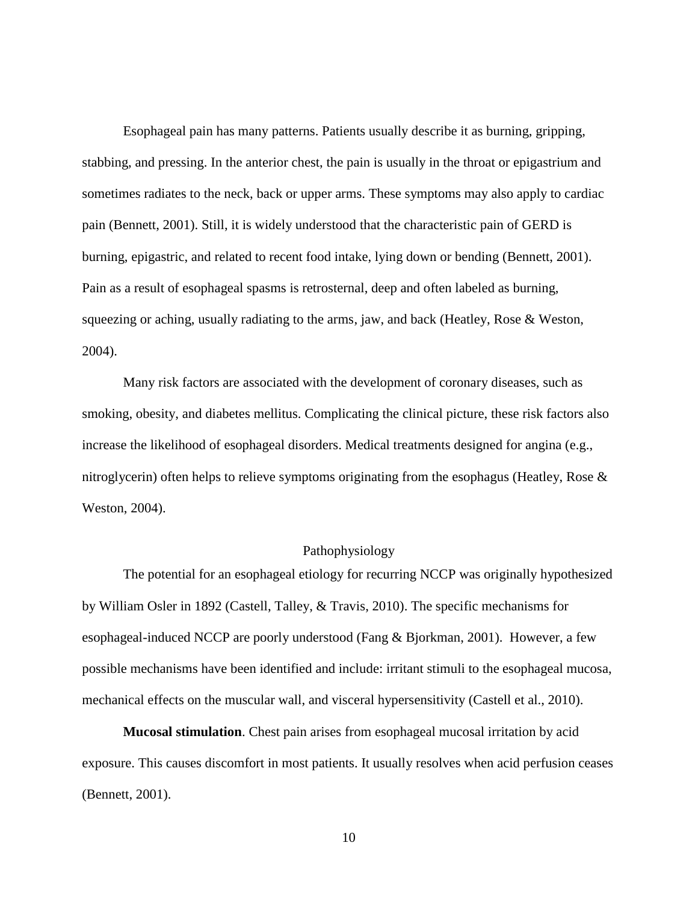Esophageal pain has many patterns. Patients usually describe it as burning, gripping, stabbing, and pressing. In the anterior chest, the pain is usually in the throat or epigastrium and sometimes radiates to the neck, back or upper arms. These symptoms may also apply to cardiac pain (Bennett, 2001). Still, it is widely understood that the characteristic pain of GERD is burning, epigastric, and related to recent food intake, lying down or bending (Bennett, 2001). Pain as a result of esophageal spasms is retrosternal, deep and often labeled as burning, squeezing or aching, usually radiating to the arms, jaw, and back (Heatley, Rose & Weston, 2004).

Many risk factors are associated with the development of coronary diseases, such as smoking, obesity, and diabetes mellitus. Complicating the clinical picture, these risk factors also increase the likelihood of esophageal disorders. Medical treatments designed for angina (e.g., nitroglycerin) often helps to relieve symptoms originating from the esophagus (Heatley, Rose  $\&$ Weston, 2004).

### Pathophysiology

<span id="page-20-0"></span>The potential for an esophageal etiology for recurring NCCP was originally hypothesized by William Osler in 1892 (Castell, Talley, & Travis, 2010). The specific mechanisms for esophageal-induced NCCP are poorly understood (Fang & Bjorkman, 2001). However, a few possible mechanisms have been identified and include: irritant stimuli to the esophageal mucosa, mechanical effects on the muscular wall, and visceral hypersensitivity (Castell et al., 2010).

**Mucosal stimulation**. Chest pain arises from esophageal mucosal irritation by acid exposure. This causes discomfort in most patients. It usually resolves when acid perfusion ceases (Bennett, 2001).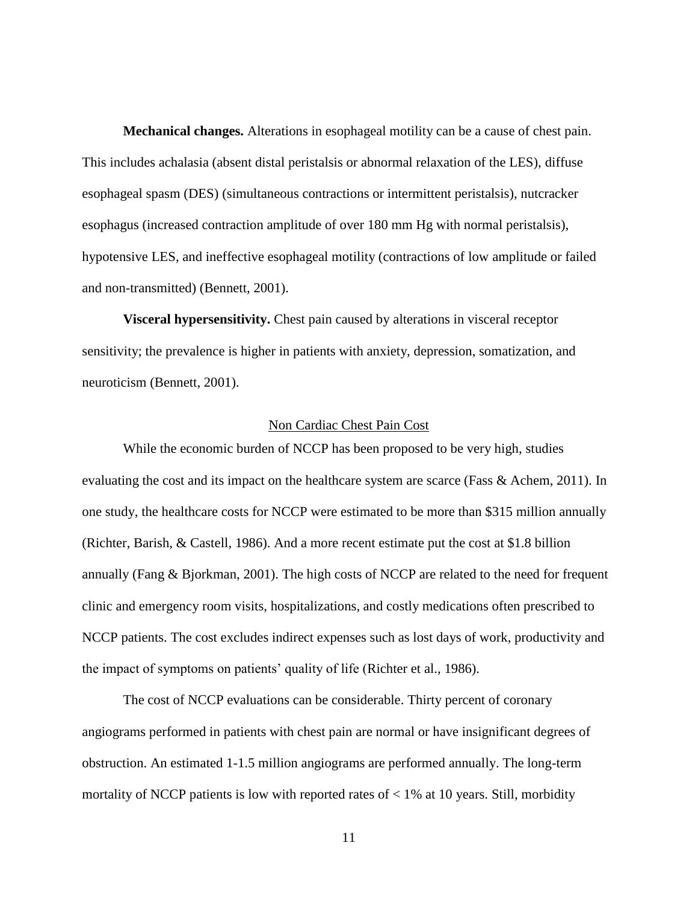**Mechanical changes.** Alterations in esophageal motility can be a cause of chest pain. This includes achalasia (absent distal peristalsis or abnormal relaxation of the LES), diffuse esophageal spasm (DES) (simultaneous contractions or intermittent peristalsis), nutcracker esophagus (increased contraction amplitude of over 180 mm Hg with normal peristalsis), hypotensive LES, and ineffective esophageal motility (contractions of low amplitude or failed and non-transmitted) (Bennett, 2001).

**Visceral hypersensitivity.** Chest pain caused by alterations in visceral receptor sensitivity; the prevalence is higher in patients with anxiety, depression, somatization, and neuroticism (Bennett, 2001).

### Non Cardiac Chest Pain Cost

<span id="page-21-0"></span>While the economic burden of NCCP has been proposed to be very high, studies evaluating the cost and its impact on the healthcare system are scarce (Fass & Achem, 2011). In one study, the healthcare costs for NCCP were estimated to be more than \$315 million annually (Richter, Barish, & Castell, 1986). And a more recent estimate put the cost at \$1.8 billion annually (Fang & Bjorkman, 2001). The high costs of NCCP are related to the need for frequent clinic and emergency room visits, hospitalizations, and costly medications often prescribed to NCCP patients. The cost excludes indirect expenses such as lost days of work, productivity and the impact of symptoms on patients' quality of life (Richter et al., 1986).

The cost of NCCP evaluations can be considerable. Thirty percent of coronary angiograms performed in patients with chest pain are normal or have insignificant degrees of obstruction. An estimated 1-1.5 million angiograms are performed annually. The long-term mortality of NCCP patients is low with reported rates of  $< 1\%$  at 10 years. Still, morbidity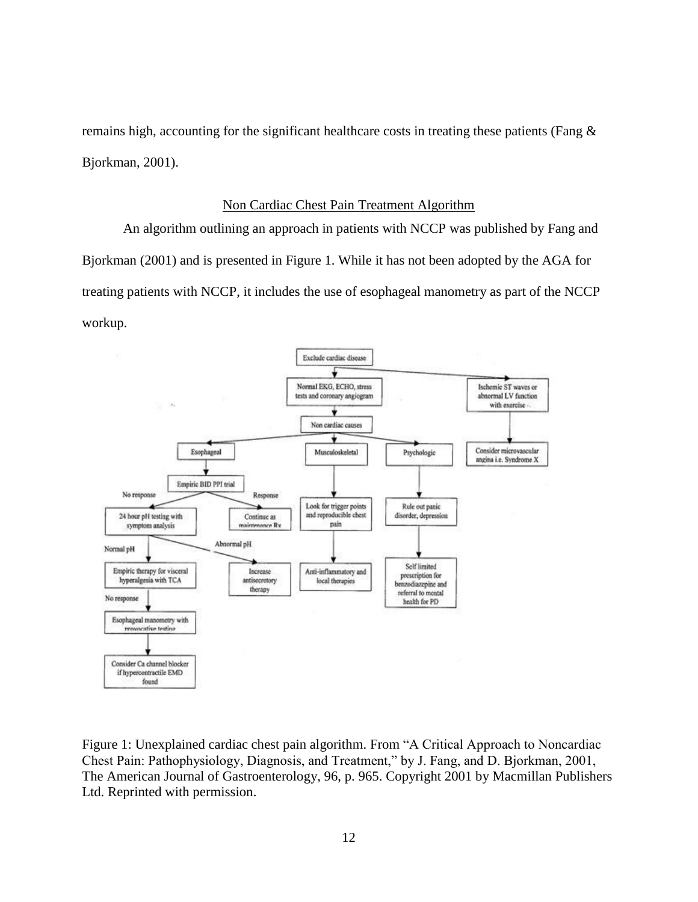remains high, accounting for the significant healthcare costs in treating these patients (Fang & Bjorkman, 2001).

#### Non Cardiac Chest Pain Treatment Algorithm

<span id="page-22-0"></span>An algorithm outlining an approach in patients with NCCP was published by Fang and Bjorkman (2001) and is presented in Figure 1. While it has not been adopted by the AGA for treating patients with NCCP, it includes the use of esophageal manometry as part of the NCCP workup.



<span id="page-22-1"></span>Figure 1: Unexplained cardiac chest pain algorithm. From "A Critical Approach to Noncardiac Chest Pain: Pathophysiology, Diagnosis, and Treatment," by J. Fang, and D. Bjorkman, 2001, The American Journal of Gastroenterology, 96, p. 965. Copyright 2001 by Macmillan Publishers Ltd. Reprinted with permission.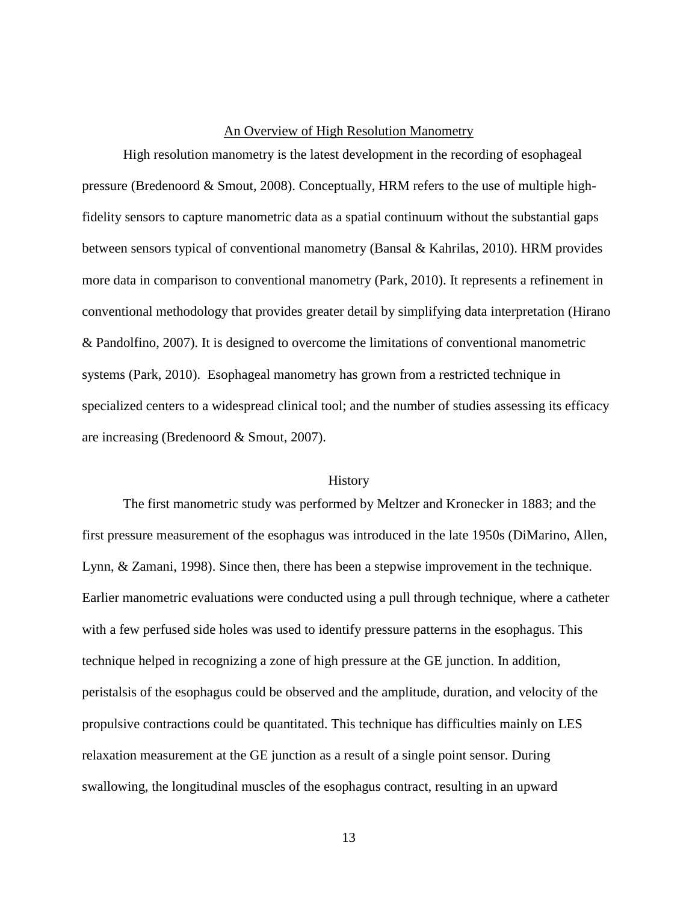### An Overview of High Resolution Manometry

<span id="page-23-0"></span>High resolution manometry is the latest development in the recording of esophageal pressure (Bredenoord & Smout, 2008). Conceptually, HRM refers to the use of multiple highfidelity sensors to capture manometric data as a spatial continuum without the substantial gaps between sensors typical of conventional manometry (Bansal & Kahrilas, 2010). HRM provides more data in comparison to conventional manometry (Park, 2010). It represents a refinement in conventional methodology that provides greater detail by simplifying data interpretation (Hirano & Pandolfino, 2007). It is designed to overcome the limitations of conventional manometric systems (Park, 2010). Esophageal manometry has grown from a restricted technique in specialized centers to a widespread clinical tool; and the number of studies assessing its efficacy are increasing (Bredenoord & Smout, 2007).

#### **History**

<span id="page-23-1"></span>The first manometric study was performed by Meltzer and Kronecker in 1883; and the first pressure measurement of the esophagus was introduced in the late 1950s (DiMarino, Allen, Lynn, & Zamani, 1998). Since then, there has been a stepwise improvement in the technique. Earlier manometric evaluations were conducted using a pull through technique, where a catheter with a few perfused side holes was used to identify pressure patterns in the esophagus. This technique helped in recognizing a zone of high pressure at the GE junction. In addition, peristalsis of the esophagus could be observed and the amplitude, duration, and velocity of the propulsive contractions could be quantitated. This technique has difficulties mainly on LES relaxation measurement at the GE junction as a result of a single point sensor. During swallowing, the longitudinal muscles of the esophagus contract, resulting in an upward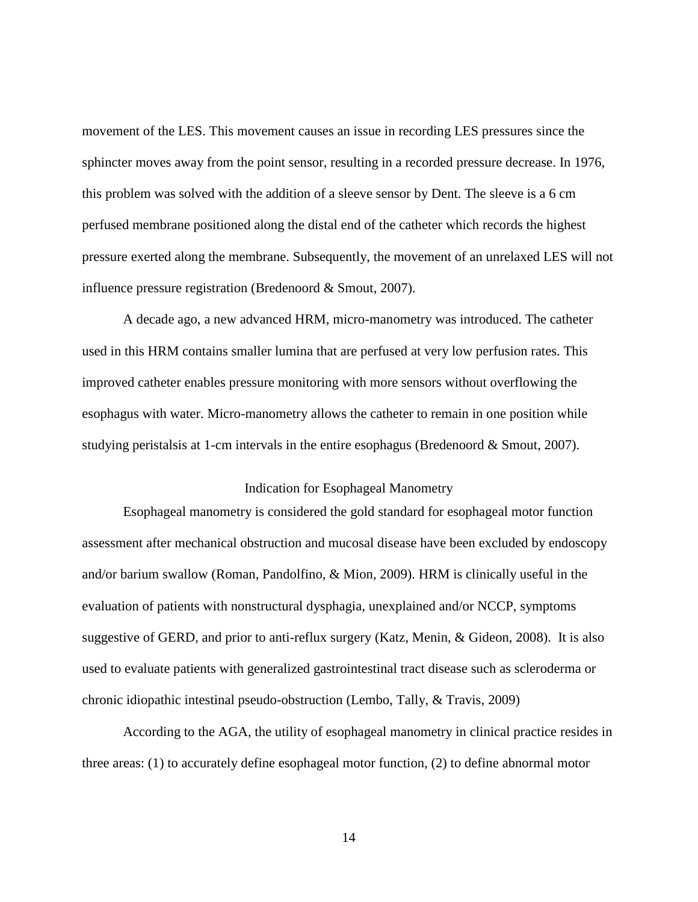movement of the LES. This movement causes an issue in recording LES pressures since the sphincter moves away from the point sensor, resulting in a recorded pressure decrease. In 1976, this problem was solved with the addition of a sleeve sensor by Dent. The sleeve is a 6 cm perfused membrane positioned along the distal end of the catheter which records the highest pressure exerted along the membrane. Subsequently, the movement of an unrelaxed LES will not influence pressure registration (Bredenoord & Smout, 2007).

A decade ago, a new advanced HRM, micro-manometry was introduced. The catheter used in this HRM contains smaller lumina that are perfused at very low perfusion rates. This improved catheter enables pressure monitoring with more sensors without overflowing the esophagus with water. Micro-manometry allows the catheter to remain in one position while studying peristalsis at 1-cm intervals in the entire esophagus (Bredenoord & Smout, 2007).

### Indication for Esophageal Manometry

<span id="page-24-0"></span>Esophageal manometry is considered the gold standard for esophageal motor function assessment after mechanical obstruction and mucosal disease have been excluded by endoscopy and/or barium swallow (Roman, Pandolfino, & Mion, 2009). HRM is clinically useful in the evaluation of patients with nonstructural dysphagia, unexplained and/or NCCP, symptoms suggestive of GERD, and prior to anti-reflux surgery (Katz, Menin, & Gideon, 2008). It is also used to evaluate patients with generalized gastrointestinal tract disease such as scleroderma or chronic idiopathic intestinal pseudo-obstruction (Lembo, Tally, & Travis, 2009)

According to the AGA, the utility of esophageal manometry in clinical practice resides in three areas: (1) to accurately define esophageal motor function, (2) to define abnormal motor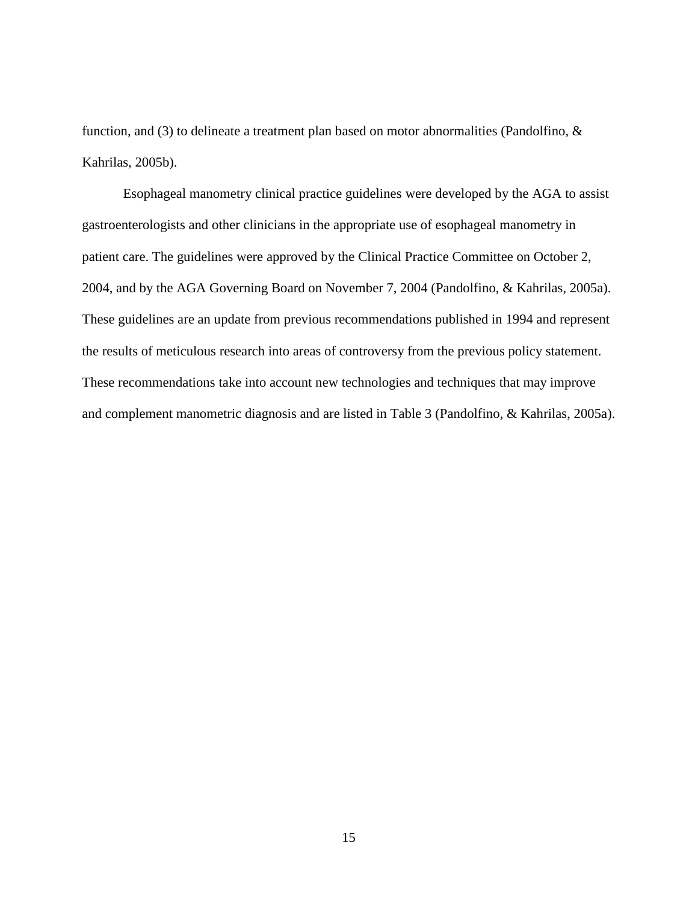function, and (3) to delineate a treatment plan based on motor abnormalities (Pandolfino, & Kahrilas, 2005b).

Esophageal manometry clinical practice guidelines were developed by the AGA to assist gastroenterologists and other clinicians in the appropriate use of esophageal manometry in patient care. The guidelines were approved by the Clinical Practice Committee on October 2, 2004, and by the AGA Governing Board on November 7, 2004 (Pandolfino, & Kahrilas, 2005a). These guidelines are an update from previous recommendations published in 1994 and represent the results of meticulous research into areas of controversy from the previous policy statement. These recommendations take into account new technologies and techniques that may improve and complement manometric diagnosis and are listed in Table 3 (Pandolfino, & Kahrilas, 2005a).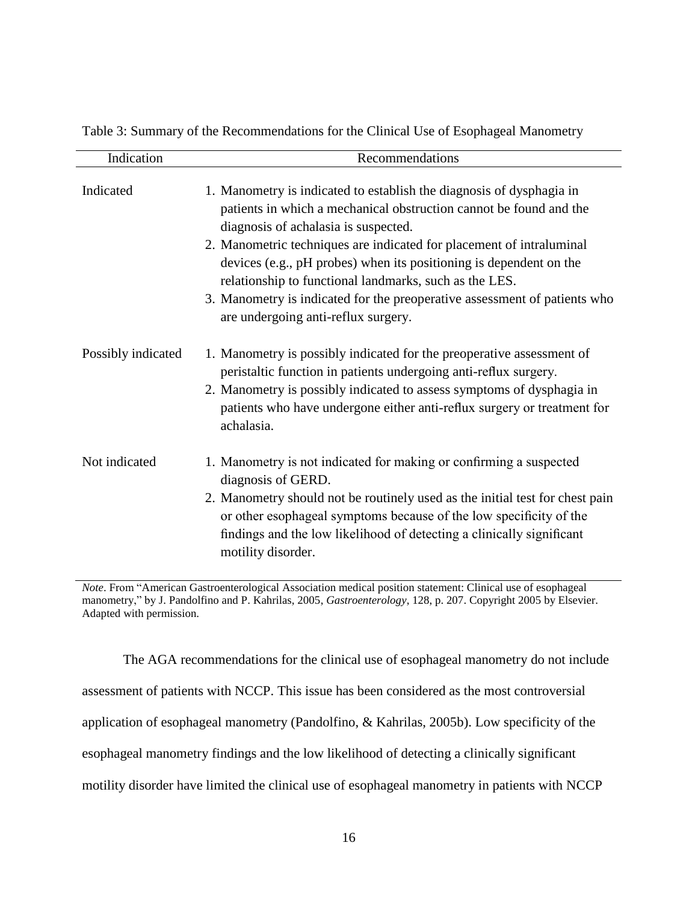| Indication         | Recommendations                                                                                                                                                                                                                                   |
|--------------------|---------------------------------------------------------------------------------------------------------------------------------------------------------------------------------------------------------------------------------------------------|
| Indicated          | 1. Manometry is indicated to establish the diagnosis of dysphagia in<br>patients in which a mechanical obstruction cannot be found and the<br>diagnosis of achalasia is suspected.                                                                |
|                    | 2. Manometric techniques are indicated for placement of intraluminal<br>devices (e.g., pH probes) when its positioning is dependent on the<br>relationship to functional landmarks, such as the LES.                                              |
|                    | 3. Manometry is indicated for the preoperative assessment of patients who<br>are undergoing anti-reflux surgery.                                                                                                                                  |
| Possibly indicated | 1. Manometry is possibly indicated for the preoperative assessment of<br>peristaltic function in patients undergoing anti-reflux surgery.<br>2. Manometry is possibly indicated to assess symptoms of dysphagia in                                |
|                    | patients who have undergone either anti-reflux surgery or treatment for<br>achalasia.                                                                                                                                                             |
| Not indicated      | 1. Manometry is not indicated for making or confirming a suspected<br>diagnosis of GERD.                                                                                                                                                          |
|                    | 2. Manometry should not be routinely used as the initial test for chest pain<br>or other esophageal symptoms because of the low specificity of the<br>findings and the low likelihood of detecting a clinically significant<br>motility disorder. |

<span id="page-26-0"></span>Table 3: Summary of the Recommendations for the Clinical Use of Esophageal Manometry

*Note*. From "American Gastroenterological Association medical position statement: Clinical use of esophageal manometry," by J. Pandolfino and P. Kahrilas, 2005, *Gastroenterology*, 128, p. 207. Copyright 2005 by Elsevier. Adapted with permission.

The AGA recommendations for the clinical use of esophageal manometry do not include assessment of patients with NCCP. This issue has been considered as the most controversial application of esophageal manometry (Pandolfino, & Kahrilas, 2005b). Low specificity of the esophageal manometry findings and the low likelihood of detecting a clinically significant motility disorder have limited the clinical use of esophageal manometry in patients with NCCP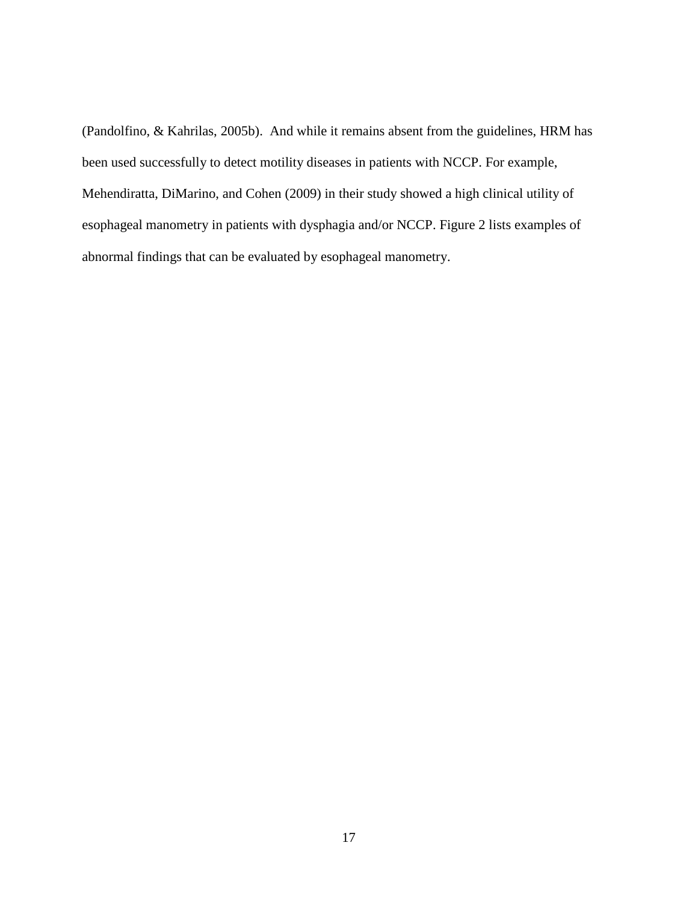(Pandolfino, & Kahrilas, 2005b). And while it remains absent from the guidelines, HRM has been used successfully to detect motility diseases in patients with NCCP. For example, Mehendiratta, DiMarino, and Cohen (2009) in their study showed a high clinical utility of esophageal manometry in patients with dysphagia and/or NCCP. Figure 2 lists examples of abnormal findings that can be evaluated by esophageal manometry.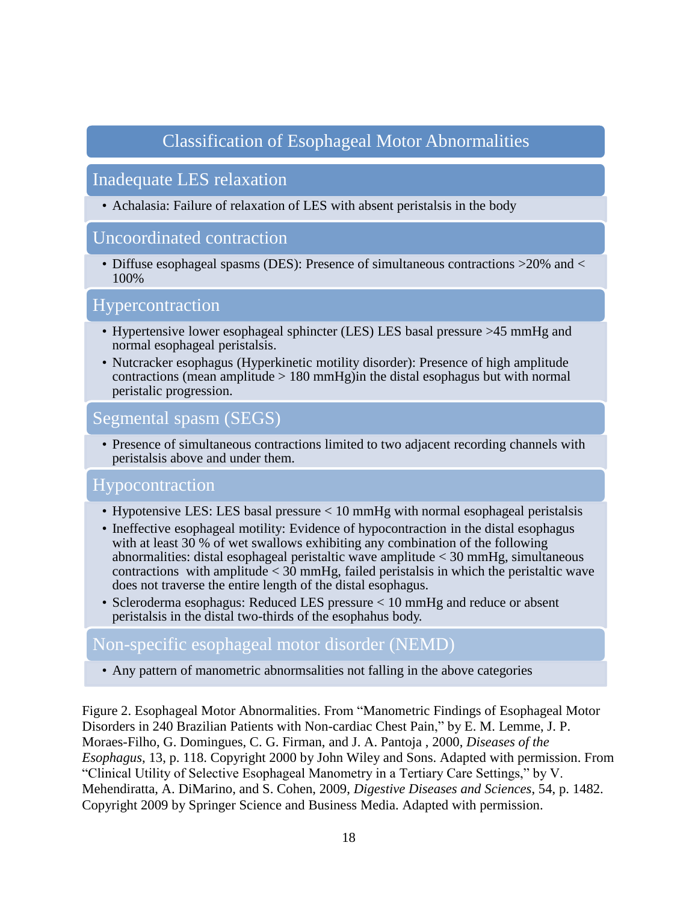## Classification of Esophageal Motor Abnormalities

### Inadequate LES relaxation

• Achalasia: Failure of relaxation of LES with absent peristalsis in the body

### Uncoordinated contraction

• Diffuse esophageal spasms (DES): Presence of simultaneous contractions > 20% and < 100%

### Hypercontraction

- Hypertensive lower esophageal sphincter (LES) LES basal pressure >45 mmHg and normal esophageal peristalsis.
- Nutcracker esophagus (Hyperkinetic motility disorder): Presence of high amplitude contractions (mean amplitude  $> 180$  mmHg) in the distal esophagus but with normal peristalic progression.

### Segmental spasm (SEGS)

• Presence of simultaneous contractions limited to two adjacent recording channels with peristalsis above and under them.

## Hypocontraction

- Hypotensive LES: LES basal pressure < 10 mmHg with normal esophageal peristalsis
- Ineffective esophageal motility: Evidence of hypocontraction in the distal esophagus with at least 30 % of wet swallows exhibiting any combination of the following abnormalities: distal esophageal peristaltic wave amplitude < 30 mmHg, simultaneous contractions with amplitude  $\lt 30$  mmHg, failed peristalsis in which the peristaltic wave does not traverse the entire length of the distal esophagus.
- Scleroderma esophagus: Reduced LES pressure < 10 mmHg and reduce or absent peristalsis in the distal two-thirds of the esophahus body.

### Non-specific esophageal motor disorder (NEMD)

• Any pattern of manometric abnormsalities not falling in the above categories

<span id="page-28-0"></span>Figure 2. Esophageal Motor Abnormalities. From "Manometric Findings of Esophageal Motor Disorders in 240 Brazilian Patients with Non-cardiac Chest Pain," by E. M. Lemme, J. P. Moraes-Filho, G. Domingues, C. G. Firman, and J. A. Pantoja , 2000, *Diseases of the Esophagus*, 13, p. 118. Copyright 2000 by John Wiley and Sons. Adapted with permission. From "Clinical Utility of Selective Esophageal Manometry in a Tertiary Care Settings," by V. Mehendiratta, A. DiMarino, and S. Cohen, 2009, *Digestive Diseases and Sciences*, 54, p. 1482. Copyright 2009 by Springer Science and Business Media. Adapted with permission.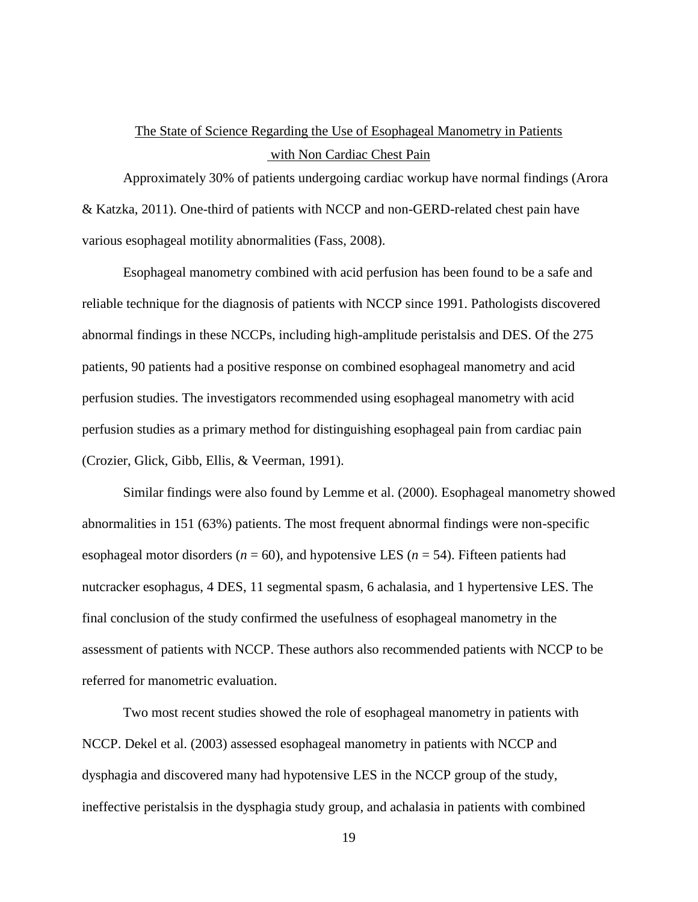## The State of Science Regarding the Use of Esophageal Manometry in Patients with Non Cardiac Chest Pain

<span id="page-29-0"></span>Approximately 30% of patients undergoing cardiac workup have normal findings (Arora & Katzka, 2011). One-third of patients with NCCP and non-GERD-related chest pain have various esophageal motility abnormalities (Fass, 2008).

Esophageal manometry combined with acid perfusion has been found to be a safe and reliable technique for the diagnosis of patients with NCCP since 1991. Pathologists discovered abnormal findings in these NCCPs, including high-amplitude peristalsis and DES. Of the 275 patients, 90 patients had a positive response on combined esophageal manometry and acid perfusion studies. The investigators recommended using esophageal manometry with acid perfusion studies as a primary method for distinguishing esophageal pain from cardiac pain (Crozier, Glick, Gibb, Ellis, & Veerman, 1991).

Similar findings were also found by Lemme et al. (2000). Esophageal manometry showed abnormalities in 151 (63%) patients. The most frequent abnormal findings were non-specific esophageal motor disorders ( $n = 60$ ), and hypotensive LES ( $n = 54$ ). Fifteen patients had nutcracker esophagus, 4 DES, 11 segmental spasm, 6 achalasia, and 1 hypertensive LES. The final conclusion of the study confirmed the usefulness of esophageal manometry in the assessment of patients with NCCP. These authors also recommended patients with NCCP to be referred for manometric evaluation.

Two most recent studies showed the role of esophageal manometry in patients with NCCP. Dekel et al. (2003) assessed esophageal manometry in patients with NCCP and dysphagia and discovered many had hypotensive LES in the NCCP group of the study, ineffective peristalsis in the dysphagia study group, and achalasia in patients with combined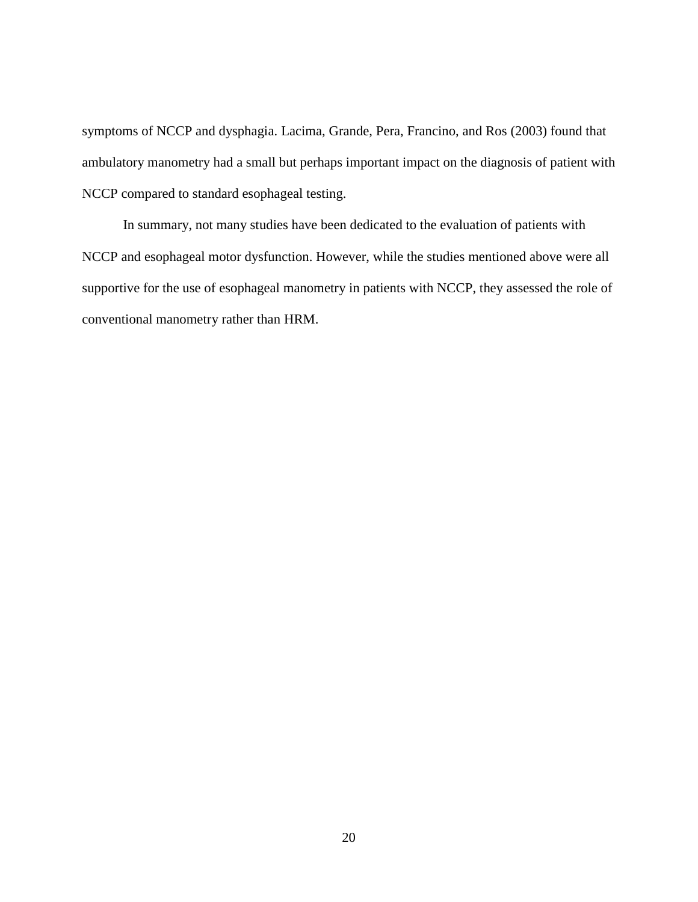symptoms of NCCP and dysphagia. Lacima, Grande, Pera, Francino, and Ros (2003) found that ambulatory manometry had a small but perhaps important impact on the diagnosis of patient with NCCP compared to standard esophageal testing.

In summary, not many studies have been dedicated to the evaluation of patients with NCCP and esophageal motor dysfunction. However, while the studies mentioned above were all supportive for the use of esophageal manometry in patients with NCCP, they assessed the role of conventional manometry rather than HRM.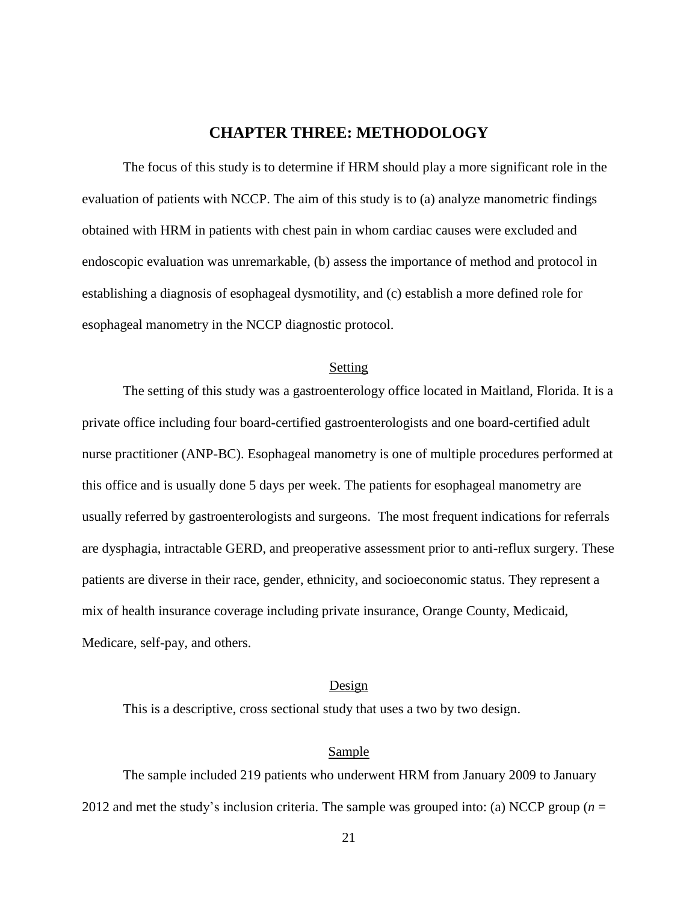### **CHAPTER THREE: METHODOLOGY**

<span id="page-31-0"></span>The focus of this study is to determine if HRM should play a more significant role in the evaluation of patients with NCCP. The aim of this study is to (a) analyze manometric findings obtained with HRM in patients with chest pain in whom cardiac causes were excluded and endoscopic evaluation was unremarkable, (b) assess the importance of method and protocol in establishing a diagnosis of esophageal dysmotility, and (c) establish a more defined role for esophageal manometry in the NCCP diagnostic protocol.

### Setting

<span id="page-31-1"></span>The setting of this study was a gastroenterology office located in Maitland, Florida. It is a private office including four board-certified gastroenterologists and one board-certified adult nurse practitioner (ANP-BC). Esophageal manometry is one of multiple procedures performed at this office and is usually done 5 days per week. The patients for esophageal manometry are usually referred by gastroenterologists and surgeons. The most frequent indications for referrals are dysphagia, intractable GERD, and preoperative assessment prior to anti-reflux surgery. These patients are diverse in their race, gender, ethnicity, and socioeconomic status. They represent a mix of health insurance coverage including private insurance, Orange County, Medicaid, Medicare, self-pay, and others.

### Design

<span id="page-31-2"></span>This is a descriptive, cross sectional study that uses a two by two design.

### Sample

<span id="page-31-3"></span>The sample included 219 patients who underwent HRM from January 2009 to January 2012 and met the study's inclusion criteria. The sample was grouped into: (a) NCCP group (*n* =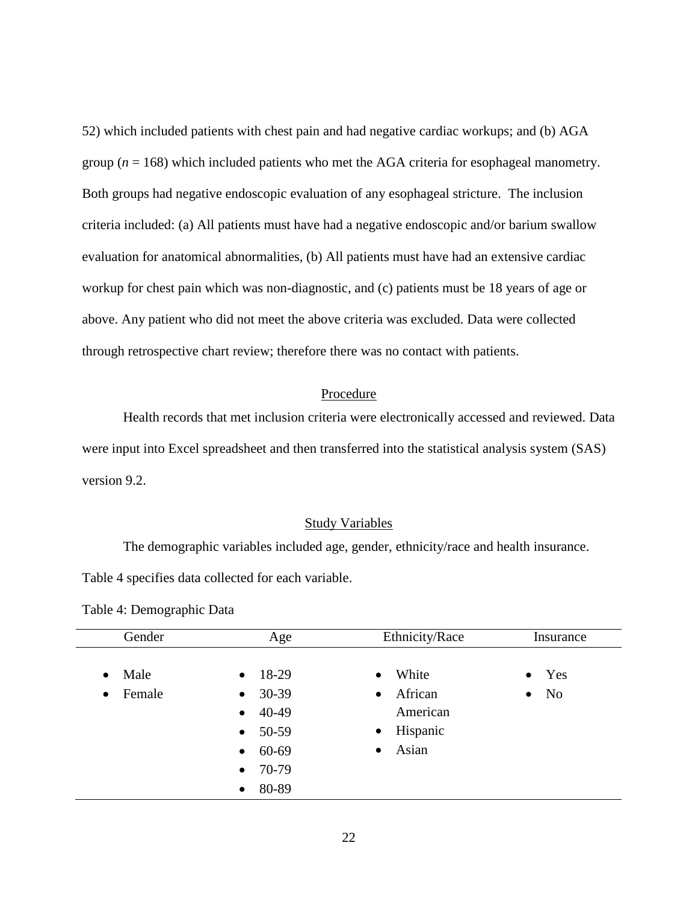52) which included patients with chest pain and had negative cardiac workups; and (b) AGA group ( $n = 168$ ) which included patients who met the AGA criteria for esophageal manometry. Both groups had negative endoscopic evaluation of any esophageal stricture. The inclusion criteria included: (a) All patients must have had a negative endoscopic and/or barium swallow evaluation for anatomical abnormalities, (b) All patients must have had an extensive cardiac workup for chest pain which was non-diagnostic, and (c) patients must be 18 years of age or above. Any patient who did not meet the above criteria was excluded. Data were collected through retrospective chart review; therefore there was no contact with patients.

### Procedure

<span id="page-32-0"></span>Health records that met inclusion criteria were electronically accessed and reviewed. Data were input into Excel spreadsheet and then transferred into the statistical analysis system (SAS) version 9.2.

#### Study Variables

<span id="page-32-1"></span>The demographic variables included age, gender, ethnicity/race and health insurance.

Table 4 specifies data collected for each variable.

<span id="page-32-2"></span>

| Gender              | Age                | Ethnicity/Race        | Insurance                   |
|---------------------|--------------------|-----------------------|-----------------------------|
|                     |                    |                       |                             |
| Male<br>$\bullet$   | 18-29<br>$\bullet$ | White<br>$\bullet$    | $\bullet$ Yes               |
| Female<br>$\bullet$ | 30-39<br>$\bullet$ | African<br>$\bullet$  | N <sub>o</sub><br>$\bullet$ |
|                     | 40-49<br>$\bullet$ | American              |                             |
|                     | 50-59<br>$\bullet$ | Hispanic<br>$\bullet$ |                             |
|                     | 60-69<br>$\bullet$ | Asian<br>$\bullet$    |                             |
|                     | 70-79<br>$\bullet$ |                       |                             |
|                     | 80-89<br>$\bullet$ |                       |                             |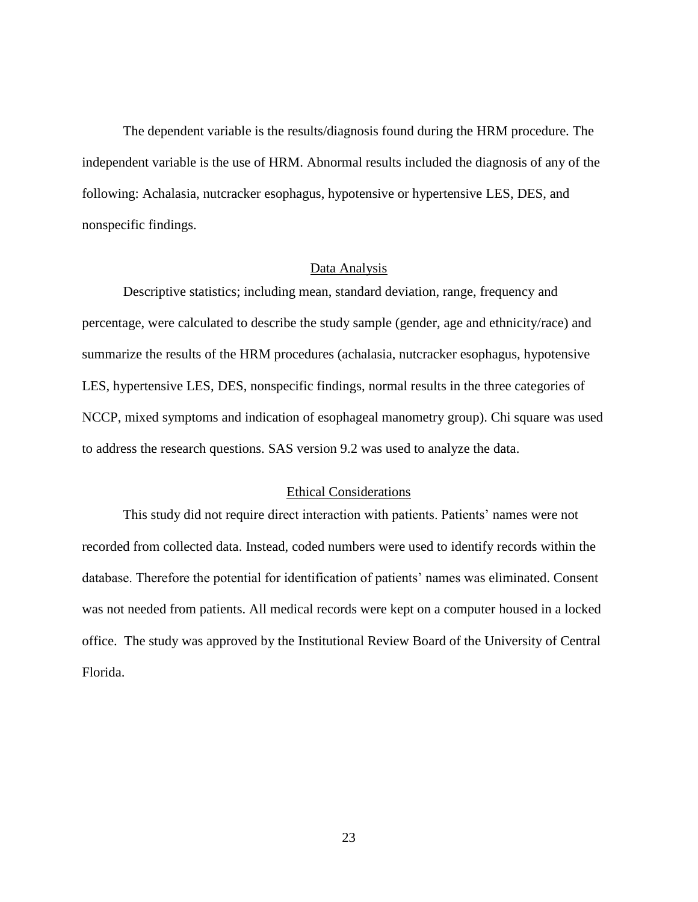The dependent variable is the results/diagnosis found during the HRM procedure. The independent variable is the use of HRM. Abnormal results included the diagnosis of any of the following: Achalasia, nutcracker esophagus, hypotensive or hypertensive LES, DES, and nonspecific findings.

### Data Analysis

<span id="page-33-0"></span>Descriptive statistics; including mean, standard deviation, range, frequency and percentage, were calculated to describe the study sample (gender, age and ethnicity/race) and summarize the results of the HRM procedures (achalasia, nutcracker esophagus, hypotensive LES, hypertensive LES, DES, nonspecific findings, normal results in the three categories of NCCP, mixed symptoms and indication of esophageal manometry group). Chi square was used to address the research questions. SAS version 9.2 was used to analyze the data.

### Ethical Considerations

<span id="page-33-1"></span>This study did not require direct interaction with patients. Patients' names were not recorded from collected data. Instead, coded numbers were used to identify records within the database. Therefore the potential for identification of patients' names was eliminated. Consent was not needed from patients. All medical records were kept on a computer housed in a locked office. The study was approved by the Institutional Review Board of the University of Central Florida.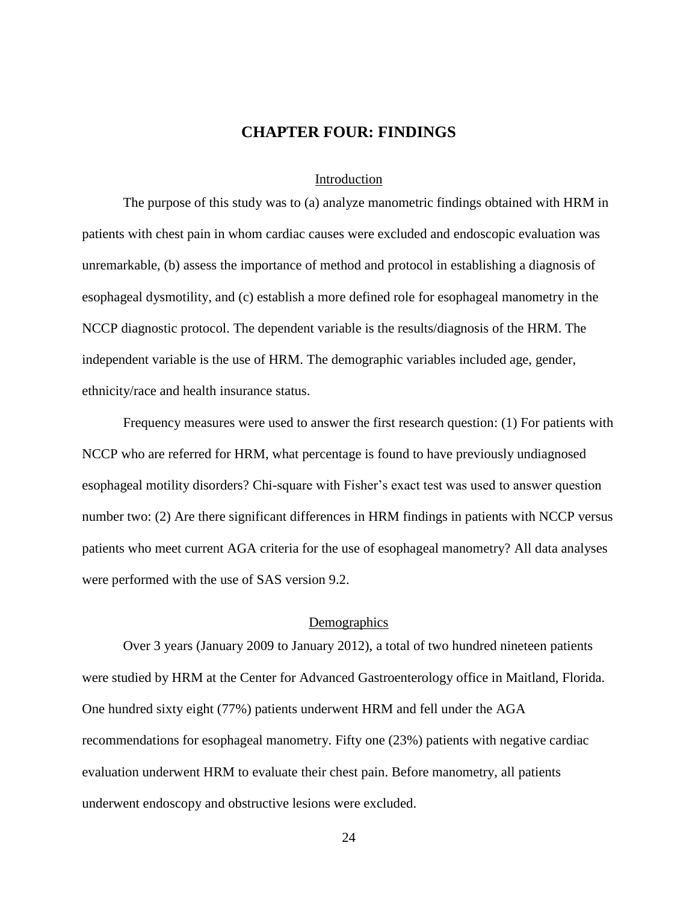### **CHAPTER FOUR: FINDINGS**

### Introduction

<span id="page-34-1"></span><span id="page-34-0"></span>The purpose of this study was to (a) analyze manometric findings obtained with HRM in patients with chest pain in whom cardiac causes were excluded and endoscopic evaluation was unremarkable, (b) assess the importance of method and protocol in establishing a diagnosis of esophageal dysmotility, and (c) establish a more defined role for esophageal manometry in the NCCP diagnostic protocol. The dependent variable is the results/diagnosis of the HRM. The independent variable is the use of HRM. The demographic variables included age, gender, ethnicity/race and health insurance status.

Frequency measures were used to answer the first research question: (1) For patients with NCCP who are referred for HRM, what percentage is found to have previously undiagnosed esophageal motility disorders? Chi-square with Fisher's exact test was used to answer question number two: (2) Are there significant differences in HRM findings in patients with NCCP versus patients who meet current AGA criteria for the use of esophageal manometry? All data analyses were performed with the use of SAS version 9.2.

### **Demographics**

<span id="page-34-2"></span>Over 3 years (January 2009 to January 2012), a total of two hundred nineteen patients were studied by HRM at the Center for Advanced Gastroenterology office in Maitland, Florida. One hundred sixty eight (77%) patients underwent HRM and fell under the AGA recommendations for esophageal manometry. Fifty one (23%) patients with negative cardiac evaluation underwent HRM to evaluate their chest pain. Before manometry, all patients underwent endoscopy and obstructive lesions were excluded.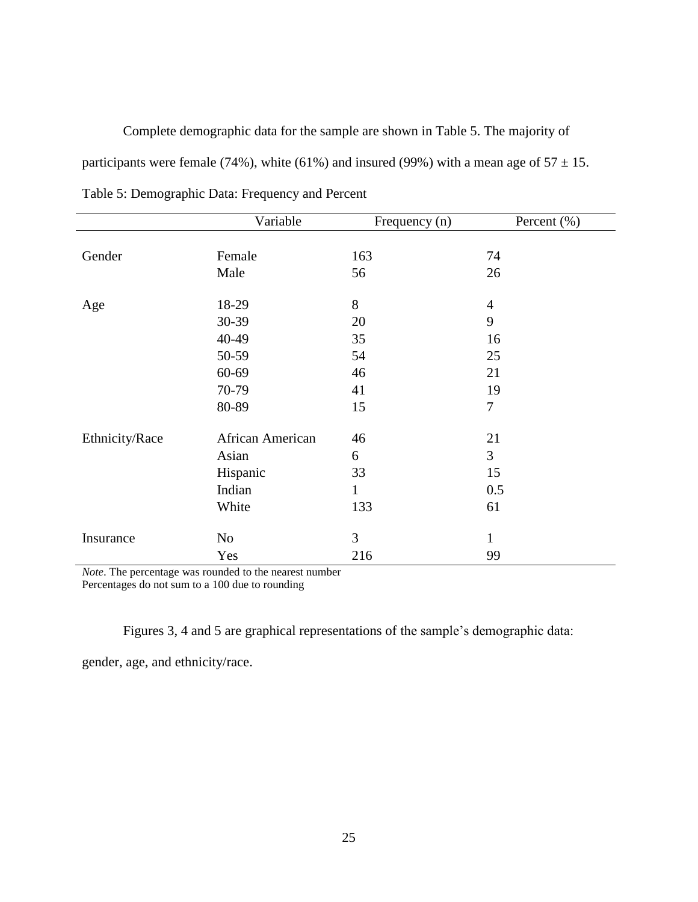Complete demographic data for the sample are shown in Table 5. The majority of participants were female (74%), white (61%) and insured (99%) with a mean age of  $57 \pm 15$ .

|                | Variable         | Frequency (n) | Percent $(\% )$ |
|----------------|------------------|---------------|-----------------|
|                |                  |               |                 |
| Gender         | Female           | 163           | 74              |
|                | Male             | 56            | 26              |
| Age            | 18-29            | 8             | $\overline{4}$  |
|                | 30-39            | 20            | 9               |
|                | 40-49            | 35            | 16              |
|                | 50-59            | 54            | 25              |
|                | 60-69            | 46            | 21              |
|                | 70-79            | 41            | 19              |
|                | 80-89            | 15            | $\overline{7}$  |
| Ethnicity/Race | African American | 46            | 21              |
|                | Asian            | 6             | $\overline{3}$  |
|                | Hispanic         | 33            | 15              |
|                | Indian           | $\mathbf{1}$  | 0.5             |
|                | White            | 133           | 61              |
| Insurance      | N <sub>o</sub>   | 3             | 1               |
|                | Yes              | 216           | 99              |

<span id="page-35-0"></span>Table 5: Demographic Data: Frequency and Percent

*Note*. The percentage was rounded to the nearest number

Percentages do not sum to a 100 due to rounding

Figures 3, 4 and 5 are graphical representations of the sample's demographic data:

gender, age, and ethnicity/race.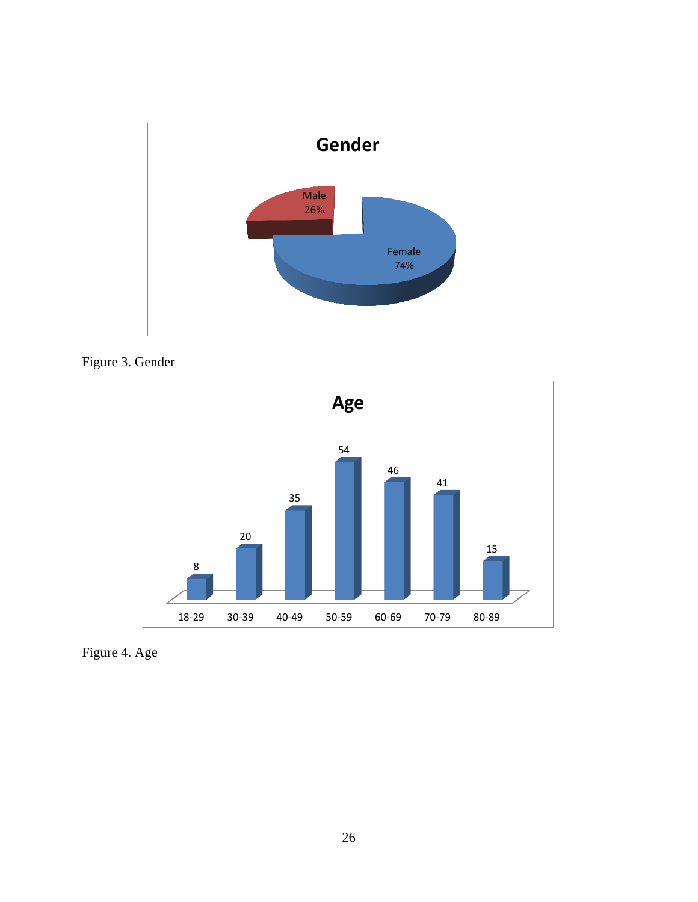

<span id="page-36-0"></span>



<span id="page-36-1"></span>Figure 4. Age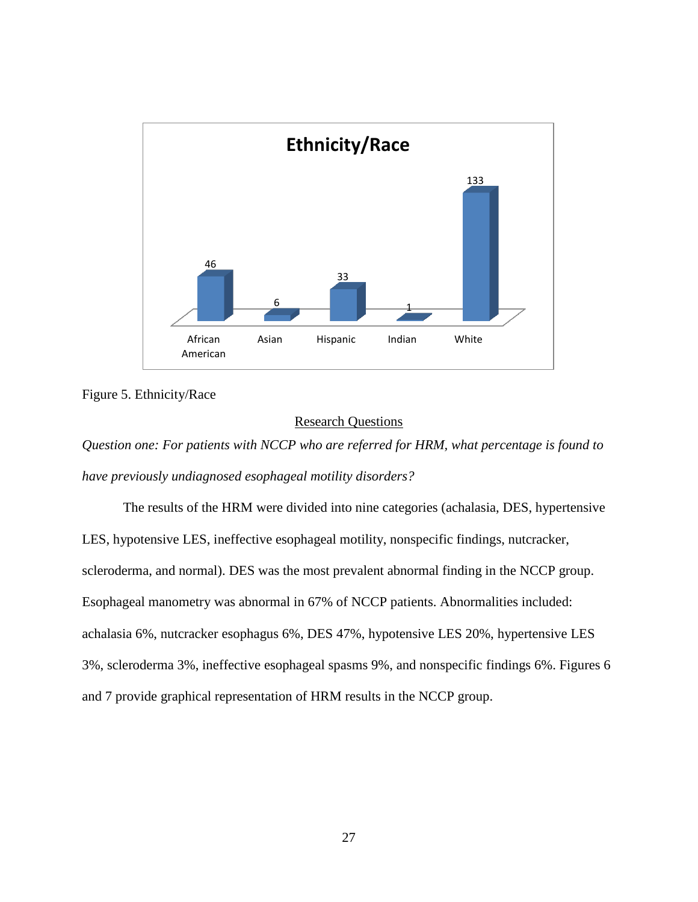

<span id="page-37-1"></span>Figure 5. Ethnicity/Race

### Research Questions

<span id="page-37-0"></span>*Question one: For patients with NCCP who are referred for HRM, what percentage is found to have previously undiagnosed esophageal motility disorders?*

The results of the HRM were divided into nine categories (achalasia, DES, hypertensive LES, hypotensive LES, ineffective esophageal motility, nonspecific findings, nutcracker, scleroderma, and normal). DES was the most prevalent abnormal finding in the NCCP group. Esophageal manometry was abnormal in 67% of NCCP patients. Abnormalities included: achalasia 6%, nutcracker esophagus 6%, DES 47%, hypotensive LES 20%, hypertensive LES 3%, scleroderma 3%, ineffective esophageal spasms 9%, and nonspecific findings 6%. Figures 6 and 7 provide graphical representation of HRM results in the NCCP group.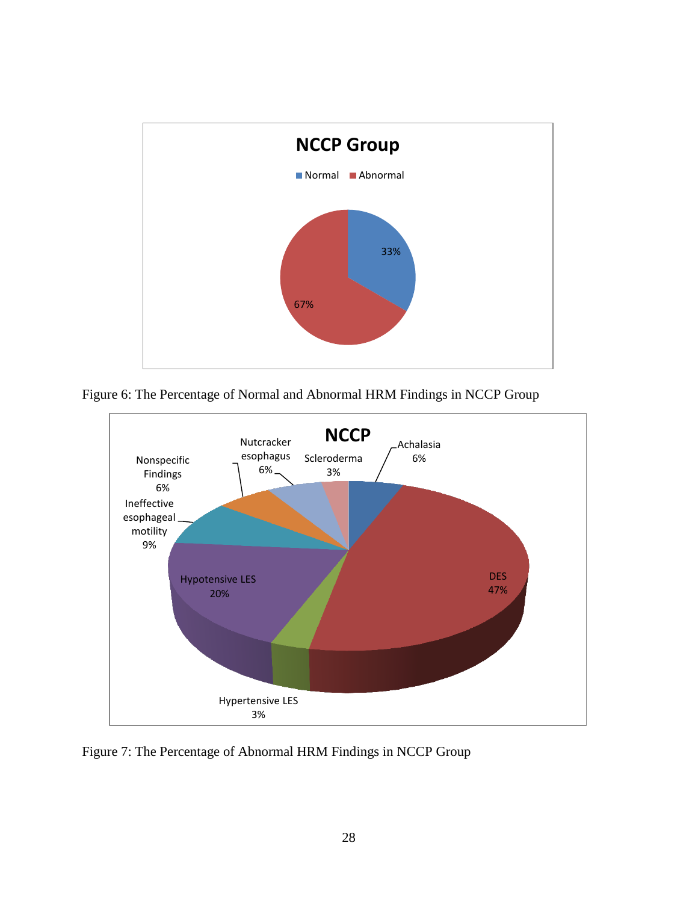

<span id="page-38-0"></span>Figure 6: The Percentage of Normal and Abnormal HRM Findings in NCCP Group



<span id="page-38-1"></span>Figure 7: The Percentage of Abnormal HRM Findings in NCCP Group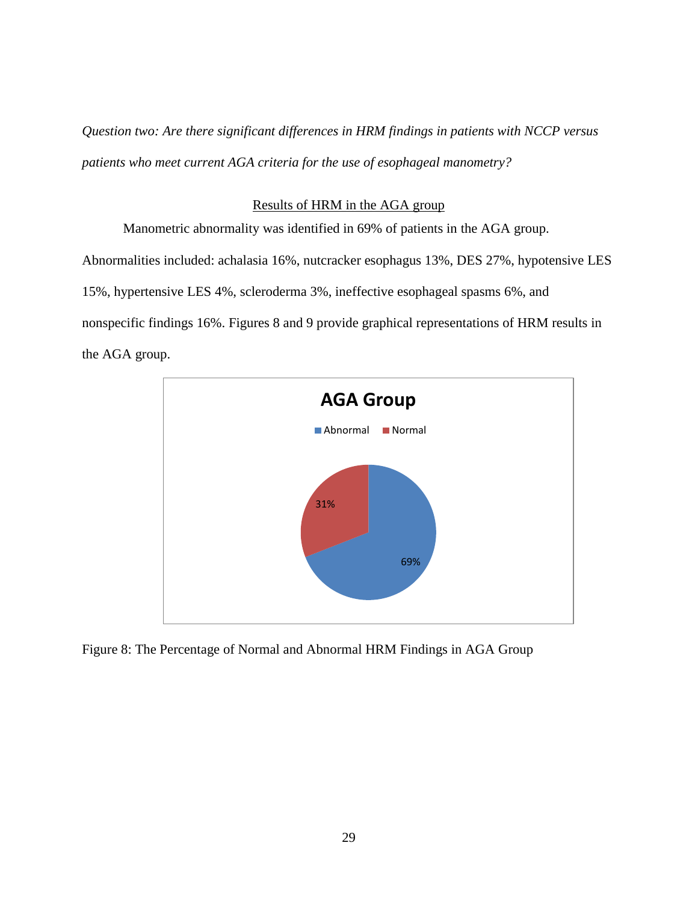*Question two: Are there significant differences in HRM findings in patients with NCCP versus patients who meet current AGA criteria for the use of esophageal manometry?*

### Results of HRM in the AGA group

<span id="page-39-0"></span>Manometric abnormality was identified in 69% of patients in the AGA group. Abnormalities included: achalasia 16%, nutcracker esophagus 13%, DES 27%, hypotensive LES 15%, hypertensive LES 4%, scleroderma 3%, ineffective esophageal spasms 6%, and nonspecific findings 16%. Figures 8 and 9 provide graphical representations of HRM results in the AGA group.



<span id="page-39-1"></span>Figure 8: The Percentage of Normal and Abnormal HRM Findings in AGA Group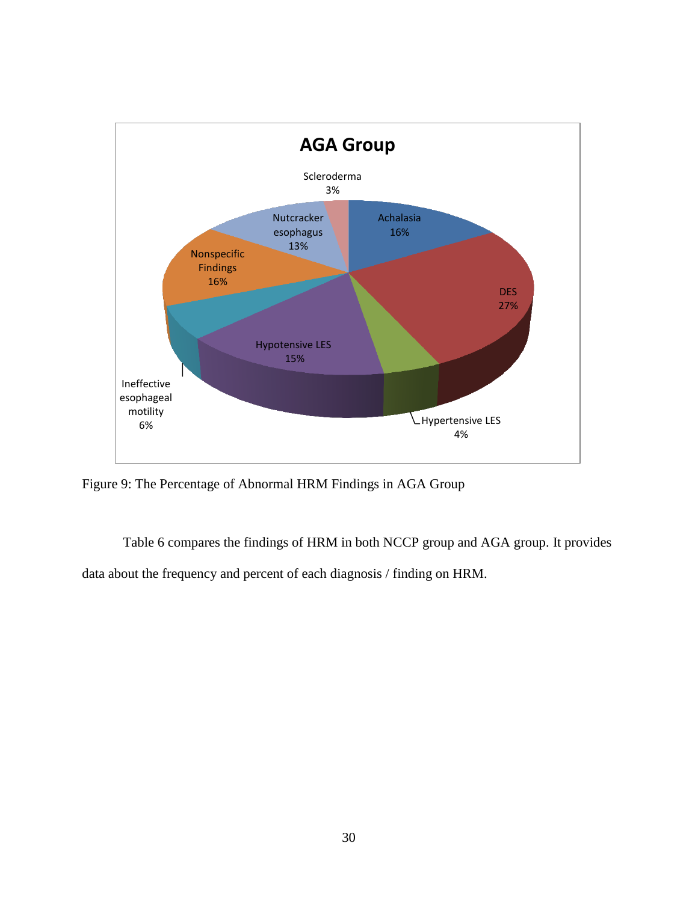

<span id="page-40-0"></span>Figure 9: The Percentage of Abnormal HRM Findings in AGA Group

Table 6 compares the findings of HRM in both NCCP group and AGA group. It provides data about the frequency and percent of each diagnosis / finding on HRM.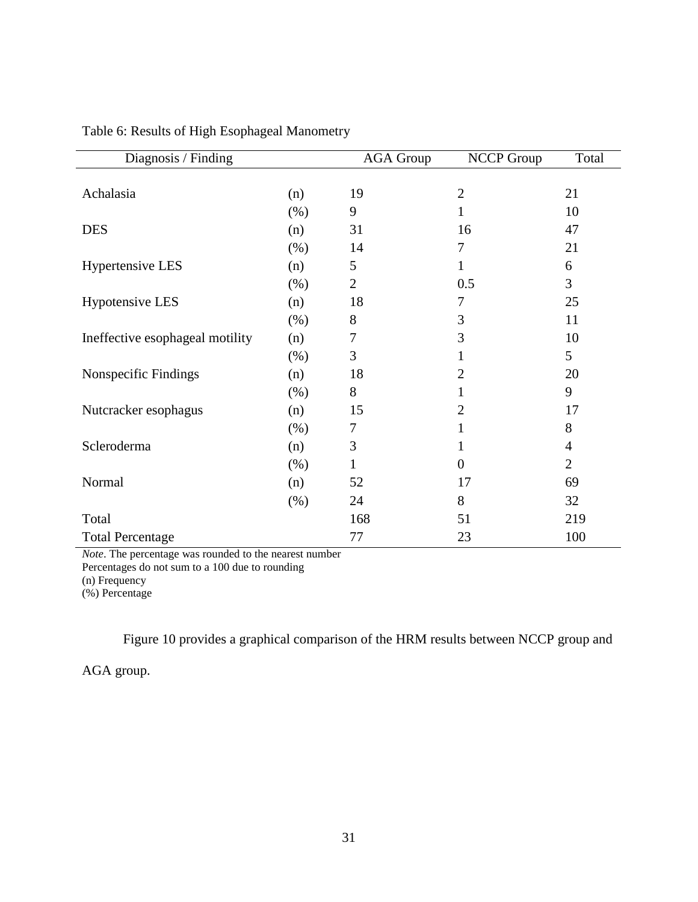| Diagnosis / Finding             |      | <b>AGA Group</b> | <b>NCCP Group</b> | Total          |
|---------------------------------|------|------------------|-------------------|----------------|
|                                 |      |                  |                   |                |
| Achalasia                       | (n)  | 19               | $\overline{2}$    | 21             |
|                                 | (%)  | 9                | 1                 | 10             |
| <b>DES</b>                      | (n)  | 31               | 16                | 47             |
|                                 | (% ) | 14               | 7                 | 21             |
| <b>Hypertensive LES</b>         | (n)  | 5                | 1                 | 6              |
|                                 | (% ) | $\overline{2}$   | 0.5               | 3              |
| <b>Hypotensive LES</b>          | (n)  | 18               | 7                 | 25             |
|                                 | (% ) | 8                | 3                 | 11             |
| Ineffective esophageal motility | (n)  | 7                | 3                 | 10             |
|                                 | (% ) | 3                | 1                 | 5              |
| Nonspecific Findings            | (n)  | 18               | $\overline{2}$    | 20             |
|                                 | (% ) | 8                | 1                 | 9              |
| Nutcracker esophagus            | (n)  | 15               | $\overline{2}$    | 17             |
|                                 | (% ) | 7                | 1                 | 8              |
| Scleroderma                     | (n)  | 3                | 1                 | $\overline{4}$ |
|                                 | (% ) | 1                | $\overline{0}$    | $\overline{2}$ |
| Normal                          | (n)  | 52               | 17                | 69             |
|                                 | (% ) | 24               | 8                 | 32             |
| Total                           |      | 168              | 51                | 219            |
| <b>Total Percentage</b>         |      | 77               | 23                | 100            |

<span id="page-41-0"></span>Table 6: Results of High Esophageal Manometry

*Note*. The percentage was rounded to the nearest number Percentages do not sum to a 100 due to rounding (n) Frequency

(%) Percentage

Figure 10 provides a graphical comparison of the HRM results between NCCP group and

AGA group.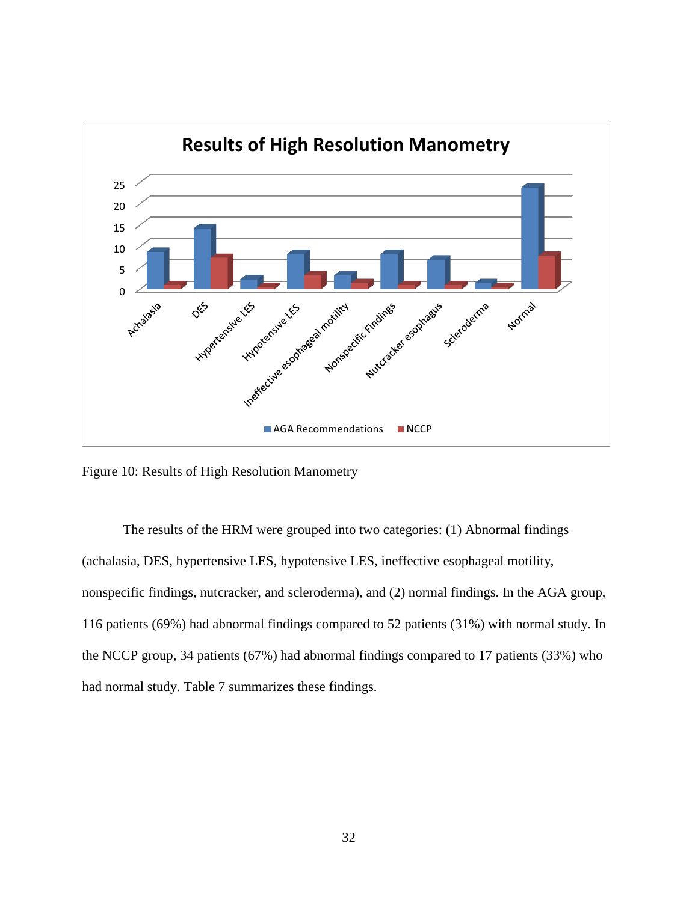

<span id="page-42-0"></span>Figure 10: Results of High Resolution Manometry

The results of the HRM were grouped into two categories: (1) Abnormal findings (achalasia, DES, hypertensive LES, hypotensive LES, ineffective esophageal motility, nonspecific findings, nutcracker, and scleroderma), and (2) normal findings. In the AGA group, 116 patients (69%) had abnormal findings compared to 52 patients (31%) with normal study. In the NCCP group, 34 patients (67%) had abnormal findings compared to 17 patients (33%) who had normal study. Table 7 summarizes these findings.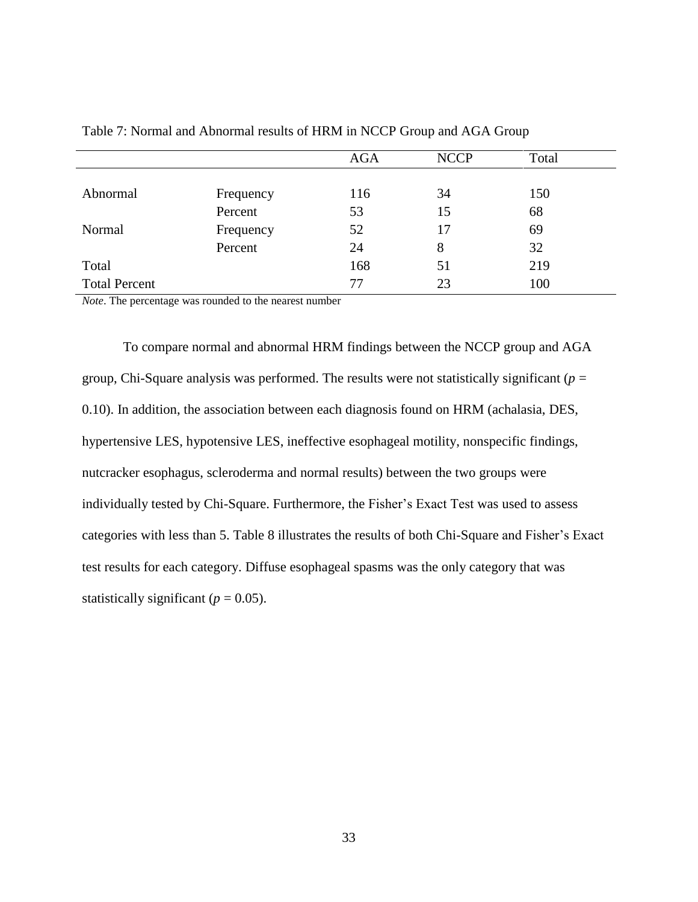|                      |           | <b>AGA</b> | <b>NCCP</b> | Total |  |
|----------------------|-----------|------------|-------------|-------|--|
|                      |           |            |             |       |  |
| Abnormal             | Frequency | 116        | 34          | 150   |  |
|                      | Percent   | 53         | 15          | 68    |  |
| Normal               | Frequency | 52         | 17          | 69    |  |
|                      | Percent   | 24         | 8           | 32    |  |
| Total                |           | 168        | 51          | 219   |  |
| <b>Total Percent</b> |           | 77         | 23          | 100   |  |

<span id="page-43-0"></span>Table 7: Normal and Abnormal results of HRM in NCCP Group and AGA Group

*Note*. The percentage was rounded to the nearest number

To compare normal and abnormal HRM findings between the NCCP group and AGA group, Chi-Square analysis was performed. The results were not statistically significant ( $p =$ 0.10). In addition, the association between each diagnosis found on HRM (achalasia, DES, hypertensive LES, hypotensive LES, ineffective esophageal motility, nonspecific findings, nutcracker esophagus, scleroderma and normal results) between the two groups were individually tested by Chi-Square. Furthermore, the Fisher's Exact Test was used to assess categories with less than 5. Table 8 illustrates the results of both Chi-Square and Fisher's Exact test results for each category. Diffuse esophageal spasms was the only category that was statistically significant ( $p = 0.05$ ).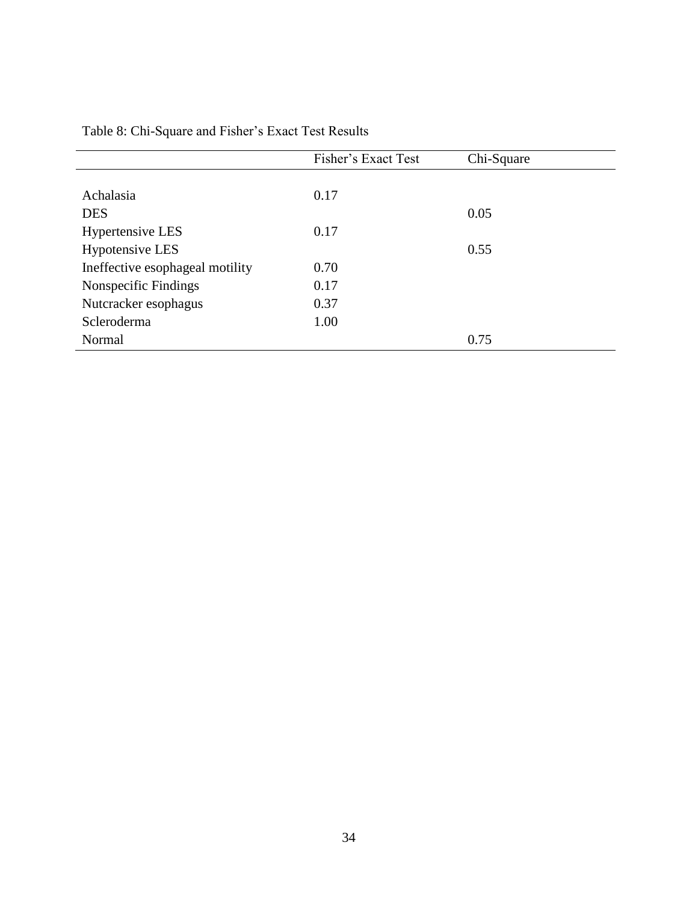|                                 | Fisher's Exact Test | Chi-Square |
|---------------------------------|---------------------|------------|
|                                 |                     |            |
| Achalasia                       | 0.17                |            |
| <b>DES</b>                      |                     | 0.05       |
| <b>Hypertensive LES</b>         | 0.17                |            |
| <b>Hypotensive LES</b>          |                     | 0.55       |
| Ineffective esophageal motility | 0.70                |            |
| Nonspecific Findings            | 0.17                |            |
| Nutcracker esophagus            | 0.37                |            |
| Scleroderma                     | 1.00                |            |
| Normal                          |                     | 0.75       |

<span id="page-44-0"></span>Table 8: Chi-Square and Fisher's Exact Test Results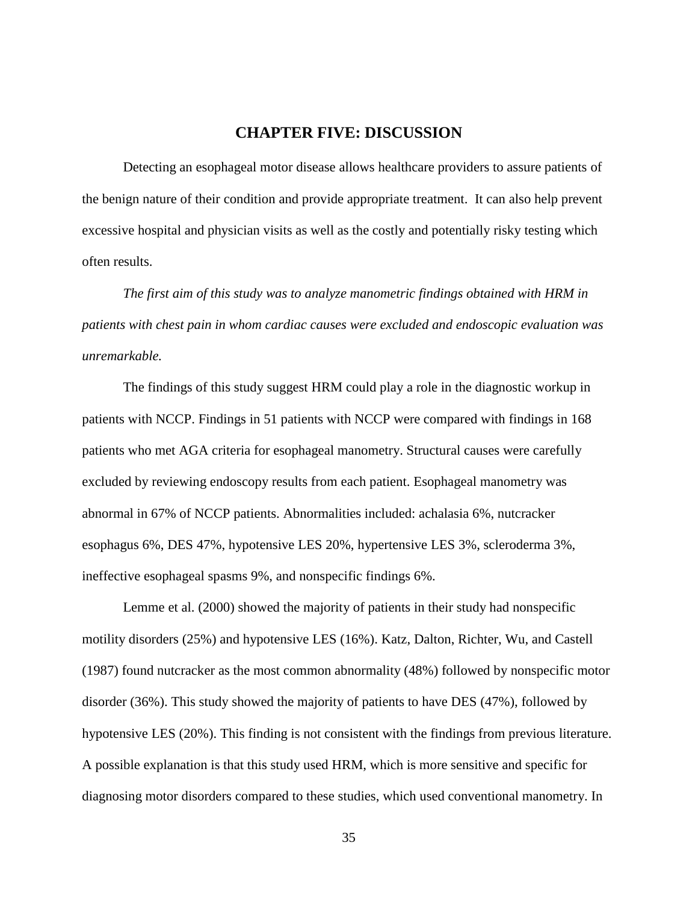### **CHAPTER FIVE: DISCUSSION**

<span id="page-45-0"></span>Detecting an esophageal motor disease allows healthcare providers to assure patients of the benign nature of their condition and provide appropriate treatment. It can also help prevent excessive hospital and physician visits as well as the costly and potentially risky testing which often results.

*The first aim of this study was to analyze manometric findings obtained with HRM in patients with chest pain in whom cardiac causes were excluded and endoscopic evaluation was unremarkable.* 

The findings of this study suggest HRM could play a role in the diagnostic workup in patients with NCCP. Findings in 51 patients with NCCP were compared with findings in 168 patients who met AGA criteria for esophageal manometry. Structural causes were carefully excluded by reviewing endoscopy results from each patient. Esophageal manometry was abnormal in 67% of NCCP patients. Abnormalities included: achalasia 6%, nutcracker esophagus 6%, DES 47%, hypotensive LES 20%, hypertensive LES 3%, scleroderma 3%, ineffective esophageal spasms 9%, and nonspecific findings 6%.

Lemme et al. (2000) showed the majority of patients in their study had nonspecific motility disorders (25%) and hypotensive LES (16%). Katz, Dalton, Richter, Wu, and Castell (1987) found nutcracker as the most common abnormality (48%) followed by nonspecific motor disorder (36%). This study showed the majority of patients to have DES (47%), followed by hypotensive LES (20%). This finding is not consistent with the findings from previous literature. A possible explanation is that this study used HRM, which is more sensitive and specific for diagnosing motor disorders compared to these studies, which used conventional manometry. In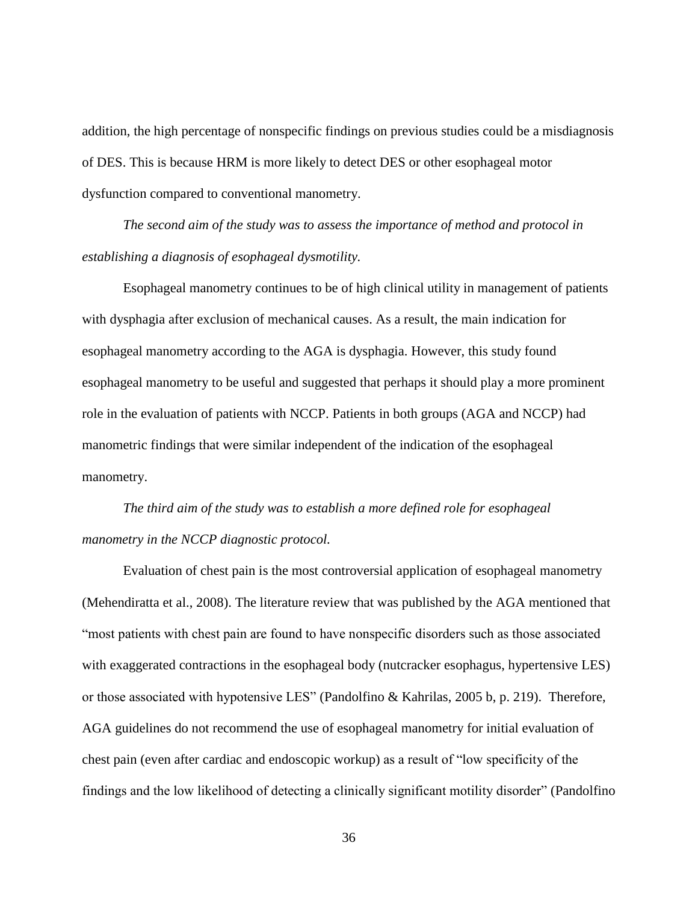addition, the high percentage of nonspecific findings on previous studies could be a misdiagnosis of DES. This is because HRM is more likely to detect DES or other esophageal motor dysfunction compared to conventional manometry.

*The second aim of the study was to assess the importance of method and protocol in establishing a diagnosis of esophageal dysmotility.* 

Esophageal manometry continues to be of high clinical utility in management of patients with dysphagia after exclusion of mechanical causes. As a result, the main indication for esophageal manometry according to the AGA is dysphagia. However, this study found esophageal manometry to be useful and suggested that perhaps it should play a more prominent role in the evaluation of patients with NCCP. Patients in both groups (AGA and NCCP) had manometric findings that were similar independent of the indication of the esophageal manometry.

*The third aim of the study was to establish a more defined role for esophageal manometry in the NCCP diagnostic protocol.* 

Evaluation of chest pain is the most controversial application of esophageal manometry (Mehendiratta et al., 2008). The literature review that was published by the AGA mentioned that "most patients with chest pain are found to have nonspecific disorders such as those associated with exaggerated contractions in the esophageal body (nutcracker esophagus, hypertensive LES) or those associated with hypotensive LES" (Pandolfino & Kahrilas, 2005 b, p. 219). Therefore, AGA guidelines do not recommend the use of esophageal manometry for initial evaluation of chest pain (even after cardiac and endoscopic workup) as a result of "low specificity of the findings and the low likelihood of detecting a clinically significant motility disorder" (Pandolfino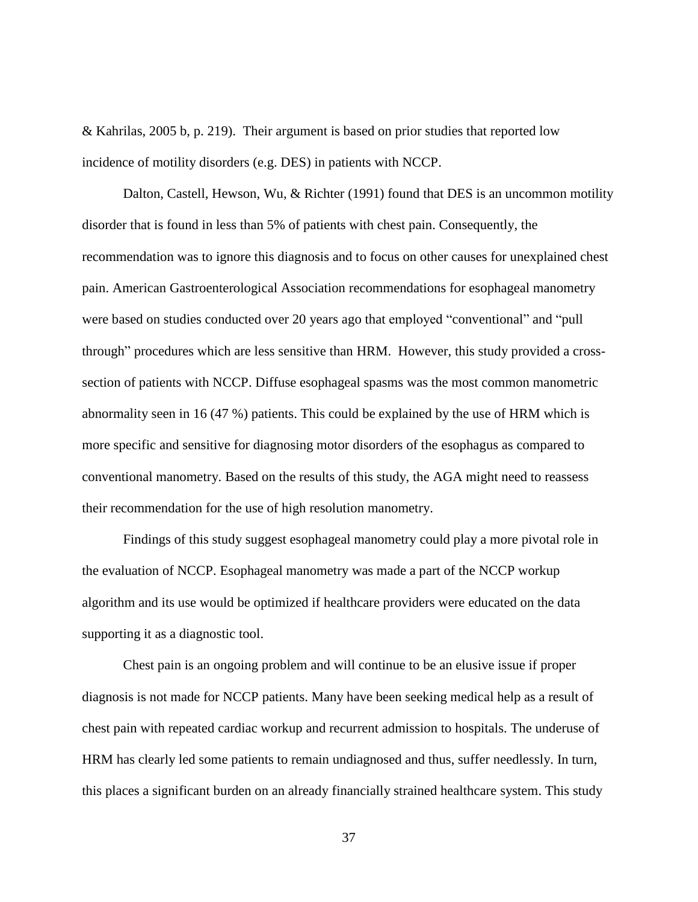& Kahrilas, 2005 b, p. 219). Their argument is based on prior studies that reported low incidence of motility disorders (e.g. DES) in patients with NCCP.

Dalton, Castell, Hewson, Wu, & Richter (1991) found that DES is an uncommon motility disorder that is found in less than 5% of patients with chest pain. Consequently, the recommendation was to ignore this diagnosis and to focus on other causes for unexplained chest pain. American Gastroenterological Association recommendations for esophageal manometry were based on studies conducted over 20 years ago that employed "conventional" and "pull through" procedures which are less sensitive than HRM. However, this study provided a crosssection of patients with NCCP. Diffuse esophageal spasms was the most common manometric abnormality seen in 16 (47 %) patients. This could be explained by the use of HRM which is more specific and sensitive for diagnosing motor disorders of the esophagus as compared to conventional manometry. Based on the results of this study, the AGA might need to reassess their recommendation for the use of high resolution manometry.

Findings of this study suggest esophageal manometry could play a more pivotal role in the evaluation of NCCP. Esophageal manometry was made a part of the NCCP workup algorithm and its use would be optimized if healthcare providers were educated on the data supporting it as a diagnostic tool.

Chest pain is an ongoing problem and will continue to be an elusive issue if proper diagnosis is not made for NCCP patients. Many have been seeking medical help as a result of chest pain with repeated cardiac workup and recurrent admission to hospitals. The underuse of HRM has clearly led some patients to remain undiagnosed and thus, suffer needlessly. In turn, this places a significant burden on an already financially strained healthcare system. This study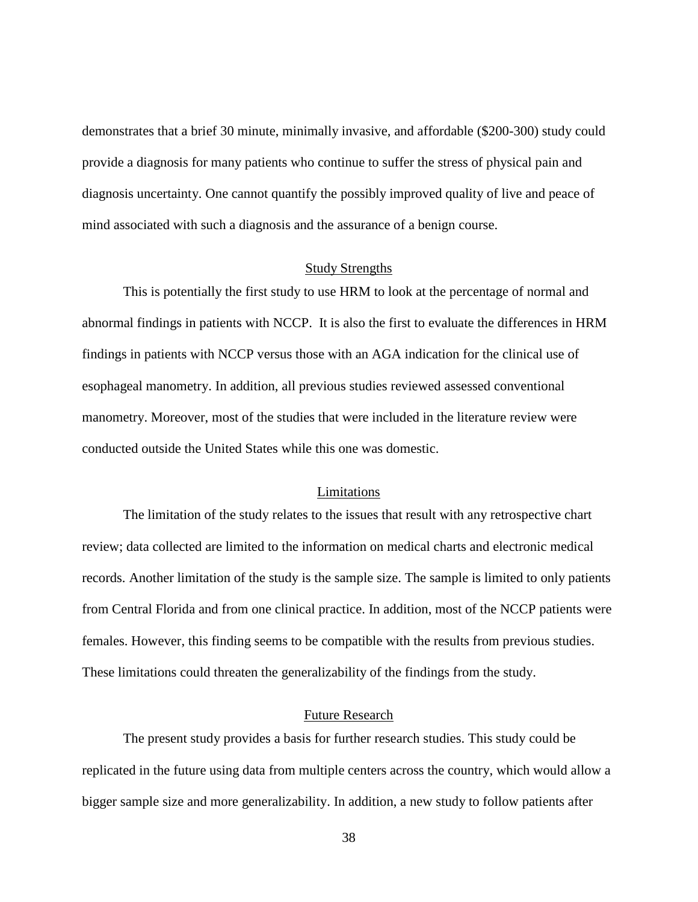demonstrates that a brief 30 minute, minimally invasive, and affordable (\$200-300) study could provide a diagnosis for many patients who continue to suffer the stress of physical pain and diagnosis uncertainty. One cannot quantify the possibly improved quality of live and peace of mind associated with such a diagnosis and the assurance of a benign course.

#### Study Strengths

<span id="page-48-0"></span>This is potentially the first study to use HRM to look at the percentage of normal and abnormal findings in patients with NCCP. It is also the first to evaluate the differences in HRM findings in patients with NCCP versus those with an AGA indication for the clinical use of esophageal manometry. In addition, all previous studies reviewed assessed conventional manometry. Moreover, most of the studies that were included in the literature review were conducted outside the United States while this one was domestic.

### Limitations

<span id="page-48-1"></span>The limitation of the study relates to the issues that result with any retrospective chart review; data collected are limited to the information on medical charts and electronic medical records. Another limitation of the study is the sample size. The sample is limited to only patients from Central Florida and from one clinical practice. In addition, most of the NCCP patients were females. However, this finding seems to be compatible with the results from previous studies. These limitations could threaten the generalizability of the findings from the study.

### Future Research

<span id="page-48-2"></span>The present study provides a basis for further research studies. This study could be replicated in the future using data from multiple centers across the country, which would allow a bigger sample size and more generalizability. In addition, a new study to follow patients after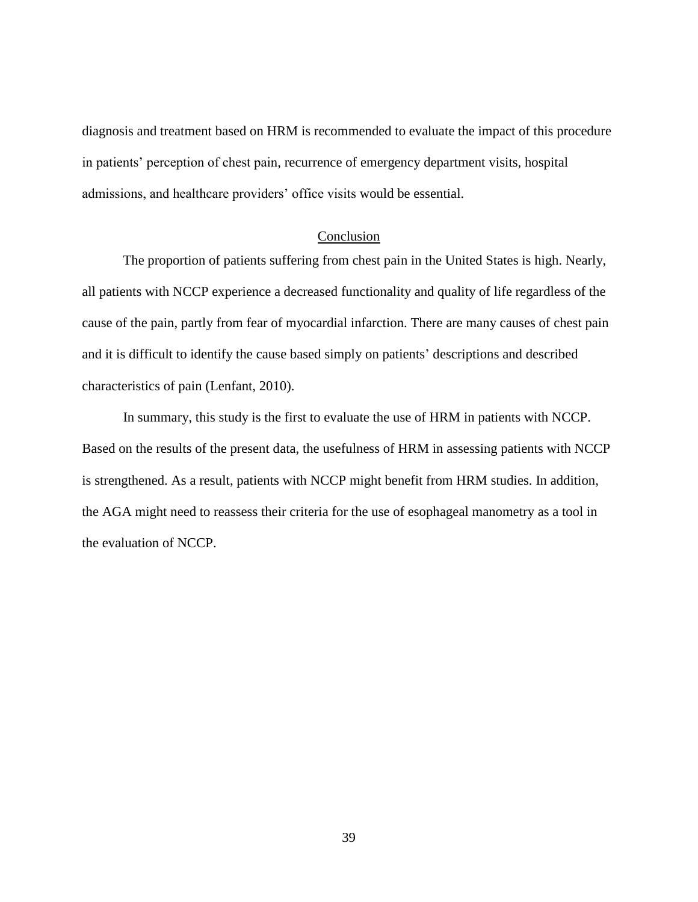diagnosis and treatment based on HRM is recommended to evaluate the impact of this procedure in patients' perception of chest pain, recurrence of emergency department visits, hospital admissions, and healthcare providers' office visits would be essential.

### Conclusion

<span id="page-49-0"></span>The proportion of patients suffering from chest pain in the United States is high. Nearly, all patients with NCCP experience a decreased functionality and quality of life regardless of the cause of the pain, partly from fear of myocardial infarction. There are many causes of chest pain and it is difficult to identify the cause based simply on patients' descriptions and described characteristics of pain (Lenfant, 2010).

In summary, this study is the first to evaluate the use of HRM in patients with NCCP. Based on the results of the present data, the usefulness of HRM in assessing patients with NCCP is strengthened. As a result, patients with NCCP might benefit from HRM studies. In addition, the AGA might need to reassess their criteria for the use of esophageal manometry as a tool in the evaluation of NCCP.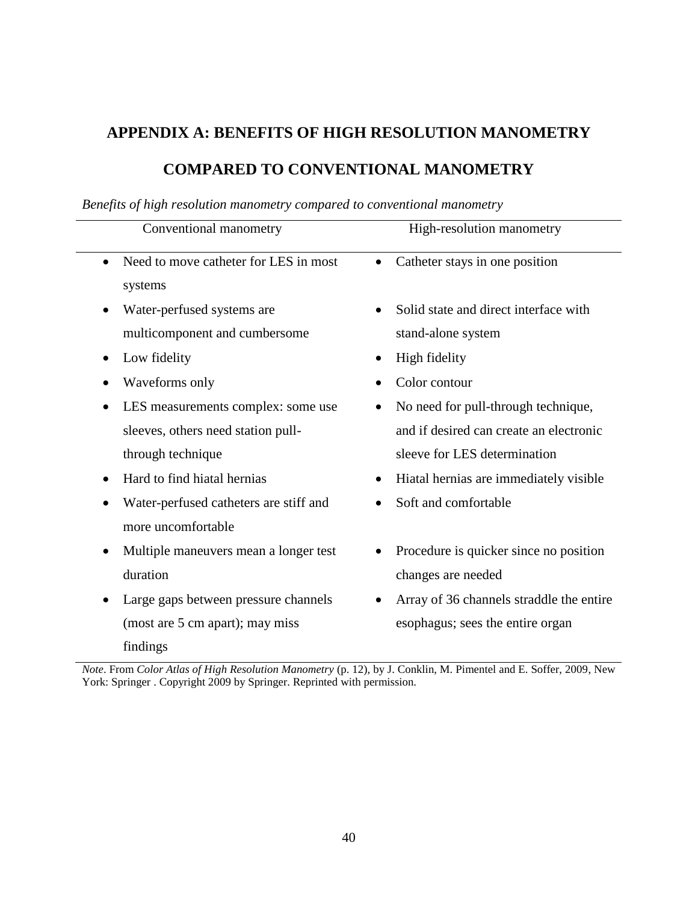# <span id="page-50-0"></span>**APPENDIX A: BENEFITS OF HIGH RESOLUTION MANOMETRY**

## **COMPARED TO CONVENTIONAL MANOMETRY**

| Conventional manometry                                       | High-resolution manometry                                   |
|--------------------------------------------------------------|-------------------------------------------------------------|
| Need to move catheter for LES in most<br>systems             | Catheter stays in one position                              |
| Water-perfused systems are<br>multicomponent and cumbersome  | Solid state and direct interface with<br>stand-alone system |
| Low fidelity                                                 | High fidelity                                               |
| Waveforms only                                               | Color contour                                               |
| LES measurements complex: some use                           | No need for pull-through technique,                         |
| sleeves, others need station pull-                           | and if desired can create an electronic                     |
| through technique                                            | sleeve for LES determination                                |
| Hard to find hiatal hernias<br>$\bullet$                     | Hiatal hernias are immediately visible                      |
| Water-perfused catheters are stiff and<br>more uncomfortable | Soft and comfortable                                        |
| Multiple maneuvers mean a longer test                        | Procedure is quicker since no position                      |
| duration                                                     | changes are needed                                          |
| Large gaps between pressure channels                         | Array of 36 channels straddle the entire                    |
| (most are 5 cm apart); may miss<br>findings                  | esophagus; sees the entire organ                            |

### *Benefits of high resolution manometry compared to conventional manometry*

*Note*. From *Color Atlas of High Resolution Manometry* (p. 12), by J. Conklin, M. Pimentel and E. Soffer, 2009, New York: Springer . Copyright 2009 by Springer. Reprinted with permission.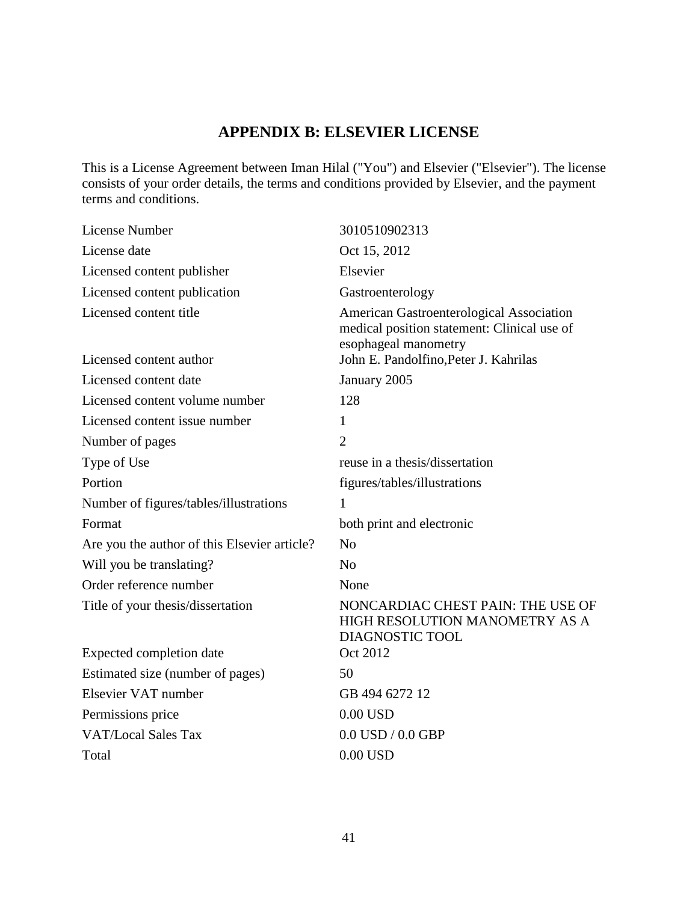## **APPENDIX B: ELSEVIER LICENSE**

<span id="page-51-0"></span>This is a License Agreement between Iman Hilal ("You") and Elsevier ("Elsevier"). The license consists of your order details, the terms and conditions provided by Elsevier, and the payment terms and conditions.

| <b>License Number</b>                        | 3010510902313                                                                                                   |
|----------------------------------------------|-----------------------------------------------------------------------------------------------------------------|
| License date                                 | Oct 15, 2012                                                                                                    |
| Licensed content publisher                   | Elsevier                                                                                                        |
| Licensed content publication                 | Gastroenterology                                                                                                |
| Licensed content title                       | American Gastroenterological Association<br>medical position statement: Clinical use of<br>esophageal manometry |
| Licensed content author                      | John E. Pandolfino, Peter J. Kahrilas                                                                           |
| Licensed content date                        | January 2005                                                                                                    |
| Licensed content volume number               | 128                                                                                                             |
| Licensed content issue number                | $\mathbf{1}$                                                                                                    |
| Number of pages                              | $\overline{2}$                                                                                                  |
| Type of Use                                  | reuse in a thesis/dissertation                                                                                  |
| Portion                                      | figures/tables/illustrations                                                                                    |
| Number of figures/tables/illustrations       | $\mathbf{1}$                                                                                                    |
| Format                                       | both print and electronic                                                                                       |
| Are you the author of this Elsevier article? | N <sub>o</sub>                                                                                                  |
| Will you be translating?                     | N <sub>0</sub>                                                                                                  |
| Order reference number                       | None                                                                                                            |
| Title of your thesis/dissertation            | NONCARDIAC CHEST PAIN: THE USE OF<br>HIGH RESOLUTION MANOMETRY AS A<br>DIAGNOSTIC TOOL                          |
| Expected completion date                     | Oct 2012                                                                                                        |
| Estimated size (number of pages)             | 50                                                                                                              |
| Elsevier VAT number                          | GB 494 6272 12                                                                                                  |
| Permissions price                            | $0.00$ USD                                                                                                      |
| <b>VAT/Local Sales Tax</b>                   | $0.0$ USD $/$ $0.0$ GBP                                                                                         |
| Total                                        | $0.00$ USD                                                                                                      |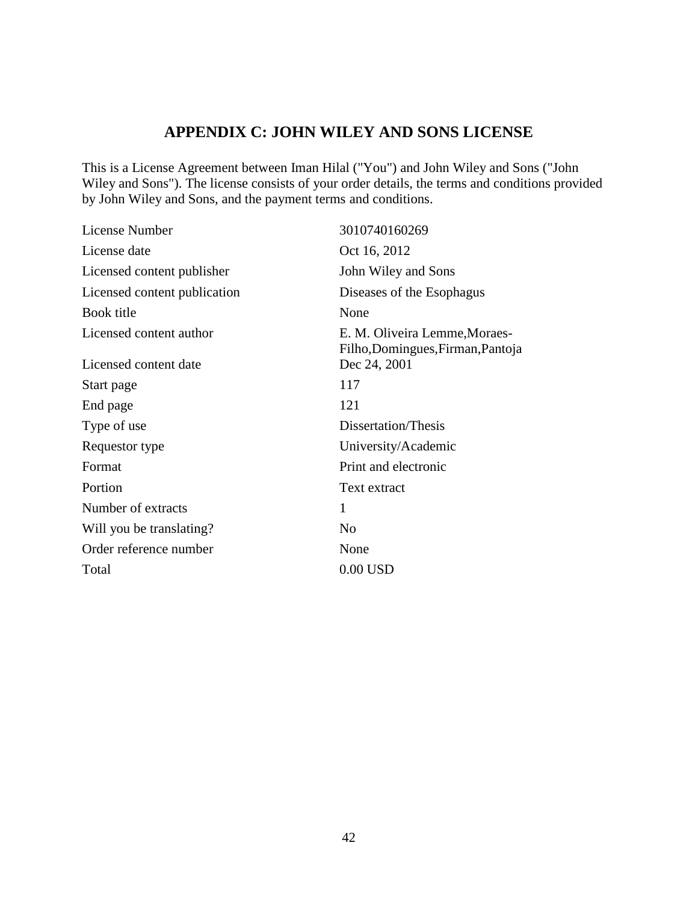### **APPENDIX C: JOHN WILEY AND SONS LICENSE**

<span id="page-52-0"></span>This is a License Agreement between Iman Hilal ("You") and John Wiley and Sons ("John Wiley and Sons"). The license consists of your order details, the terms and conditions provided by John Wiley and Sons, and the payment terms and conditions.

| License Number               | 3010740160269                                                      |
|------------------------------|--------------------------------------------------------------------|
| License date                 | Oct 16, 2012                                                       |
| Licensed content publisher   | John Wiley and Sons                                                |
| Licensed content publication | Diseases of the Esophagus                                          |
| Book title                   | None                                                               |
| Licensed content author      | E. M. Oliveira Lemme, Moraes-<br>Filho, Domingues, Firman, Pantoja |
| Licensed content date        | Dec 24, 2001                                                       |
| Start page                   | 117                                                                |
| End page                     | 121                                                                |
| Type of use                  | Dissertation/Thesis                                                |
| Requestor type               | University/Academic                                                |
| Format                       | Print and electronic                                               |
| Portion                      | Text extract                                                       |
| Number of extracts           | 1                                                                  |
| Will you be translating?     | N <sub>0</sub>                                                     |
| Order reference number       | None                                                               |
| Total                        | $0.00$ USD                                                         |
|                              |                                                                    |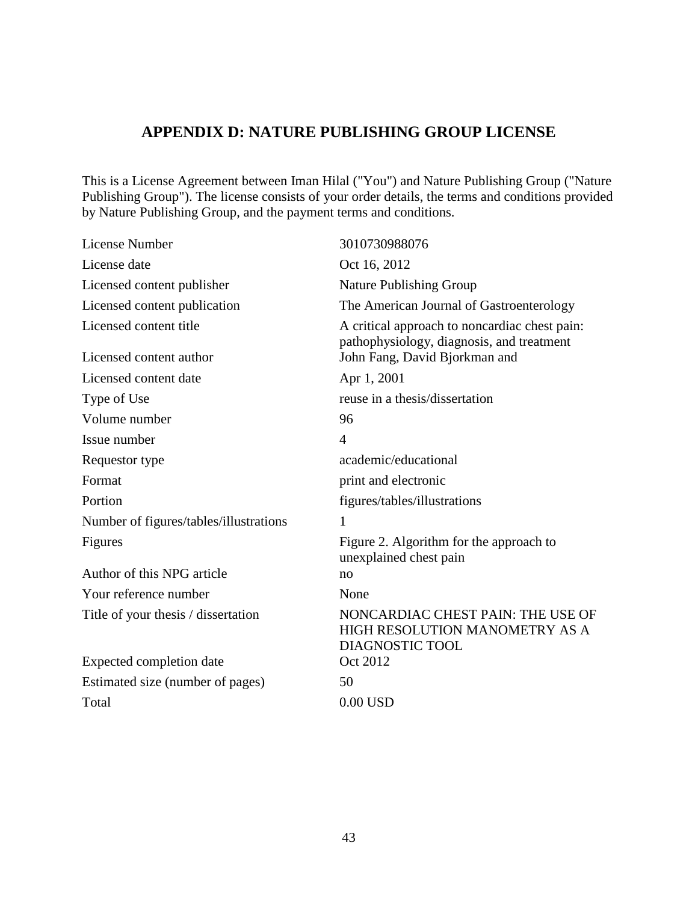### **APPENDIX D: NATURE PUBLISHING GROUP LICENSE**

<span id="page-53-0"></span>This is a License Agreement between Iman Hilal ("You") and Nature Publishing Group ("Nature Publishing Group"). The license consists of your order details, the terms and conditions provided by Nature Publishing Group, and the payment terms and conditions.

| License Number                         | 3010730988076                                                                                 |
|----------------------------------------|-----------------------------------------------------------------------------------------------|
| License date                           | Oct 16, 2012                                                                                  |
| Licensed content publisher             | <b>Nature Publishing Group</b>                                                                |
| Licensed content publication           | The American Journal of Gastroenterology                                                      |
| Licensed content title                 | A critical approach to noncardiac chest pain:<br>pathophysiology, diagnosis, and treatment    |
| Licensed content author                | John Fang, David Bjorkman and                                                                 |
| Licensed content date                  | Apr 1, 2001                                                                                   |
| Type of Use                            | reuse in a thesis/dissertation                                                                |
| Volume number                          | 96                                                                                            |
| Issue number                           | $\overline{4}$                                                                                |
| Requestor type                         | academic/educational                                                                          |
| Format                                 | print and electronic                                                                          |
| Portion                                | figures/tables/illustrations                                                                  |
| Number of figures/tables/illustrations | 1                                                                                             |
| Figures                                | Figure 2. Algorithm for the approach to<br>unexplained chest pain                             |
| Author of this NPG article             | no                                                                                            |
| Your reference number                  | None                                                                                          |
| Title of your thesis / dissertation    | NONCARDIAC CHEST PAIN: THE USE OF<br>HIGH RESOLUTION MANOMETRY AS A<br><b>DIAGNOSTIC TOOL</b> |
| Expected completion date               | Oct 2012                                                                                      |
| Estimated size (number of pages)       | 50                                                                                            |
| Total                                  | $0.00$ USD                                                                                    |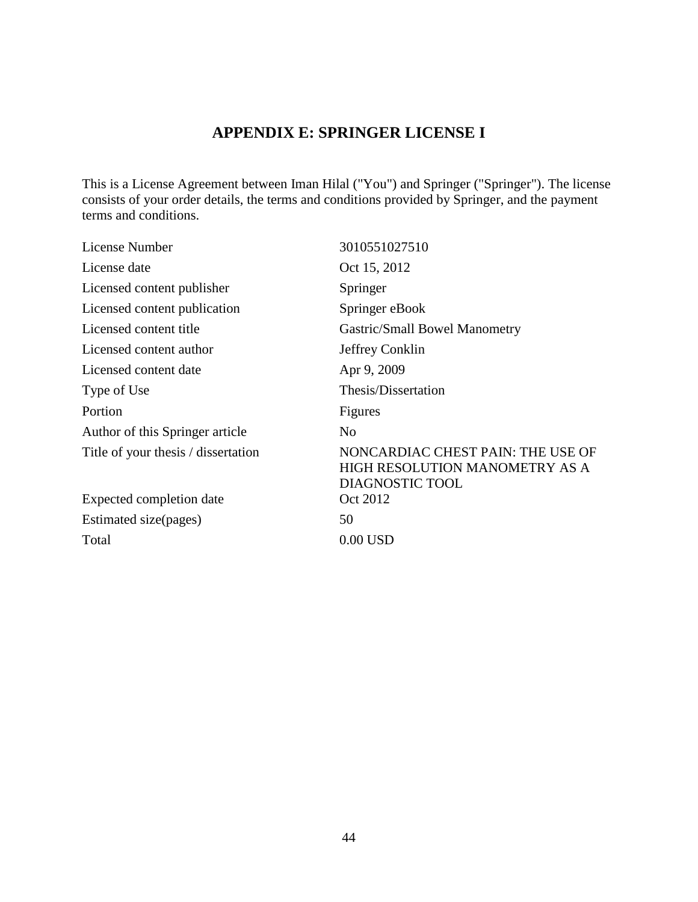## **APPENDIX E: SPRINGER LICENSE I**

<span id="page-54-0"></span>This is a License Agreement between Iman Hilal ("You") and Springer ("Springer"). The license consists of your order details, the terms and conditions provided by Springer, and the payment terms and conditions.

| 3010551027510                                                                          |
|----------------------------------------------------------------------------------------|
| Oct 15, 2012                                                                           |
| Springer                                                                               |
| Springer eBook                                                                         |
| Gastric/Small Bowel Manometry                                                          |
| Jeffrey Conklin                                                                        |
| Apr 9, 2009                                                                            |
| Thesis/Dissertation                                                                    |
| Figures                                                                                |
| N <sub>0</sub>                                                                         |
| NONCARDIAC CHEST PAIN: THE USE OF<br>HIGH RESOLUTION MANOMETRY AS A<br>DIAGNOSTIC TOOL |
| Oct 2012                                                                               |
| 50                                                                                     |
| $0.00$ USD                                                                             |
|                                                                                        |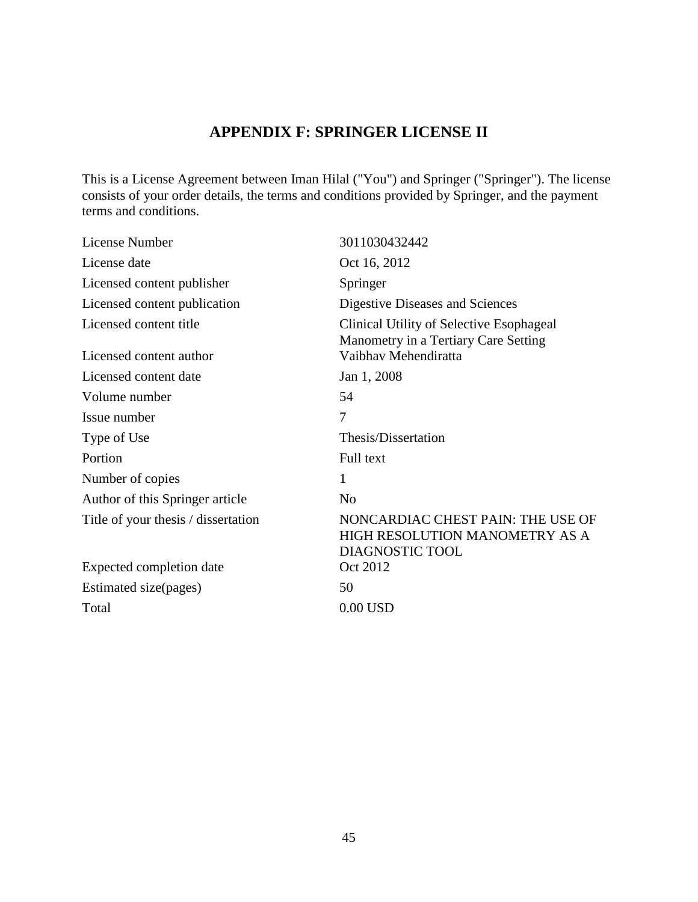## **APPENDIX F: SPRINGER LICENSE II**

<span id="page-55-0"></span>This is a License Agreement between Iman Hilal ("You") and Springer ("Springer"). The license consists of your order details, the terms and conditions provided by Springer, and the payment terms and conditions.

| License Number                      | 3011030432442                                                                          |
|-------------------------------------|----------------------------------------------------------------------------------------|
| License date                        | Oct 16, 2012                                                                           |
| Licensed content publisher          | Springer                                                                               |
| Licensed content publication        | Digestive Diseases and Sciences                                                        |
| Licensed content title              | Clinical Utility of Selective Esophageal                                               |
| Licensed content author             | Manometry in a Tertiary Care Setting<br>Vaibhav Mehendiratta                           |
| Licensed content date               | Jan 1, 2008                                                                            |
| Volume number                       | 54                                                                                     |
| Issue number                        | 7                                                                                      |
| Type of Use                         | Thesis/Dissertation                                                                    |
| Portion                             | Full text                                                                              |
| Number of copies                    | 1                                                                                      |
| Author of this Springer article     | N <sub>o</sub>                                                                         |
| Title of your thesis / dissertation | NONCARDIAC CHEST PAIN: THE USE OF<br>HIGH RESOLUTION MANOMETRY AS A<br>DIAGNOSTIC TOOL |
| Expected completion date            | Oct 2012                                                                               |
| Estimated size(pages)               | 50                                                                                     |
| Total                               | $0.00$ USD                                                                             |
|                                     |                                                                                        |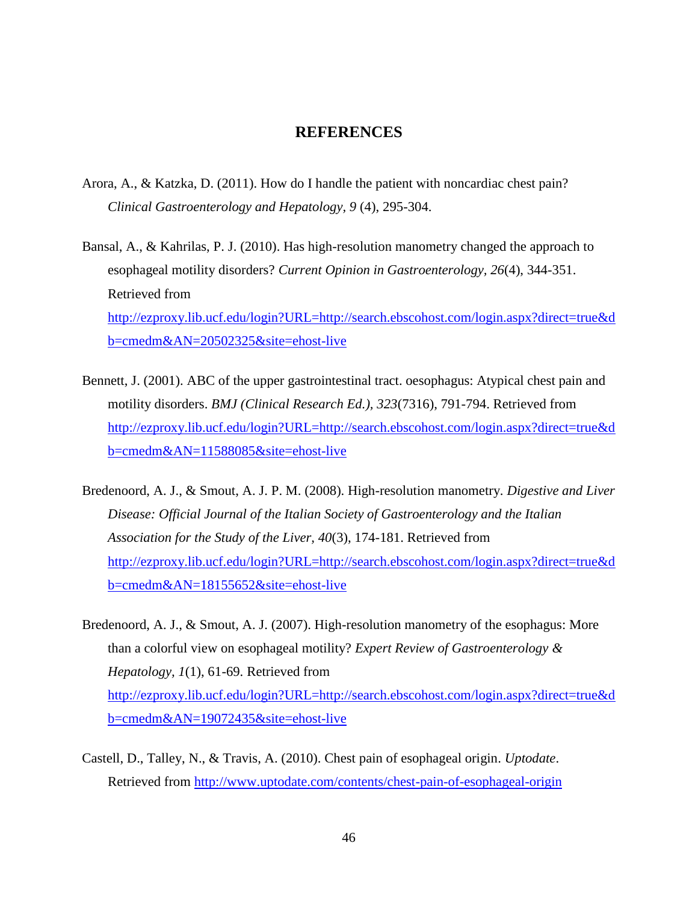### **REFERENCES**

- <span id="page-56-0"></span>Arora, A., & Katzka, D. (2011). How do I handle the patient with noncardiac chest pain? *Clinical Gastroenterology and Hepatology, 9* (4), 295-304.
- Bansal, A., & Kahrilas, P. J. (2010). Has high-resolution manometry changed the approach to esophageal motility disorders? *Current Opinion in Gastroenterology, 26*(4), 344-351. Retrieved from [http://ezproxy.lib.ucf.edu/login?URL=http://search.ebscohost.com/login.aspx?direct=true&d](http://ezproxy.lib.ucf.edu/login?URL=http://search.ebscohost.com/login.aspx?direct=true&db=cmedm&AN=20502325&site=ehost-live) [b=cmedm&AN=20502325&site=ehost-live](http://ezproxy.lib.ucf.edu/login?URL=http://search.ebscohost.com/login.aspx?direct=true&db=cmedm&AN=20502325&site=ehost-live)
- Bennett, J. (2001). ABC of the upper gastrointestinal tract. oesophagus: Atypical chest pain and motility disorders. *BMJ (Clinical Research Ed.), 323*(7316), 791-794. Retrieved from [http://ezproxy.lib.ucf.edu/login?URL=http://search.ebscohost.com/login.aspx?direct=true&d](http://ezproxy.lib.ucf.edu/login?URL=http://search.ebscohost.com/login.aspx?direct=true&db=cmedm&AN=11588085&site=ehost-live) [b=cmedm&AN=11588085&site=ehost-live](http://ezproxy.lib.ucf.edu/login?URL=http://search.ebscohost.com/login.aspx?direct=true&db=cmedm&AN=11588085&site=ehost-live)
- Bredenoord, A. J., & Smout, A. J. P. M. (2008). High-resolution manometry. *Digestive and Liver Disease: Official Journal of the Italian Society of Gastroenterology and the Italian Association for the Study of the Liver, 40*(3), 174-181. Retrieved from [http://ezproxy.lib.ucf.edu/login?URL=http://search.ebscohost.com/login.aspx?direct=true&d](http://ezproxy.lib.ucf.edu/login?URL=http://search.ebscohost.com/login.aspx?direct=true&db=cmedm&AN=18155652&site=ehost-live) [b=cmedm&AN=18155652&site=ehost-live](http://ezproxy.lib.ucf.edu/login?URL=http://search.ebscohost.com/login.aspx?direct=true&db=cmedm&AN=18155652&site=ehost-live)
- Bredenoord, A. J., & Smout, A. J. (2007). High-resolution manometry of the esophagus: More than a colorful view on esophageal motility? *Expert Review of Gastroenterology & Hepatology, 1*(1), 61-69. Retrieved from [http://ezproxy.lib.ucf.edu/login?URL=http://search.ebscohost.com/login.aspx?direct=true&d](http://ezproxy.lib.ucf.edu/login?URL=http://search.ebscohost.com/login.aspx?direct=true&db=cmedm&AN=19072435&site=ehost-live) [b=cmedm&AN=19072435&site=ehost-live](http://ezproxy.lib.ucf.edu/login?URL=http://search.ebscohost.com/login.aspx?direct=true&db=cmedm&AN=19072435&site=ehost-live)
- Castell, D., Talley, N., & Travis, A. (2010). Chest pain of esophageal origin. *Uptodate*. Retrieved from<http://www.uptodate.com/contents/chest-pain-of-esophageal-origin>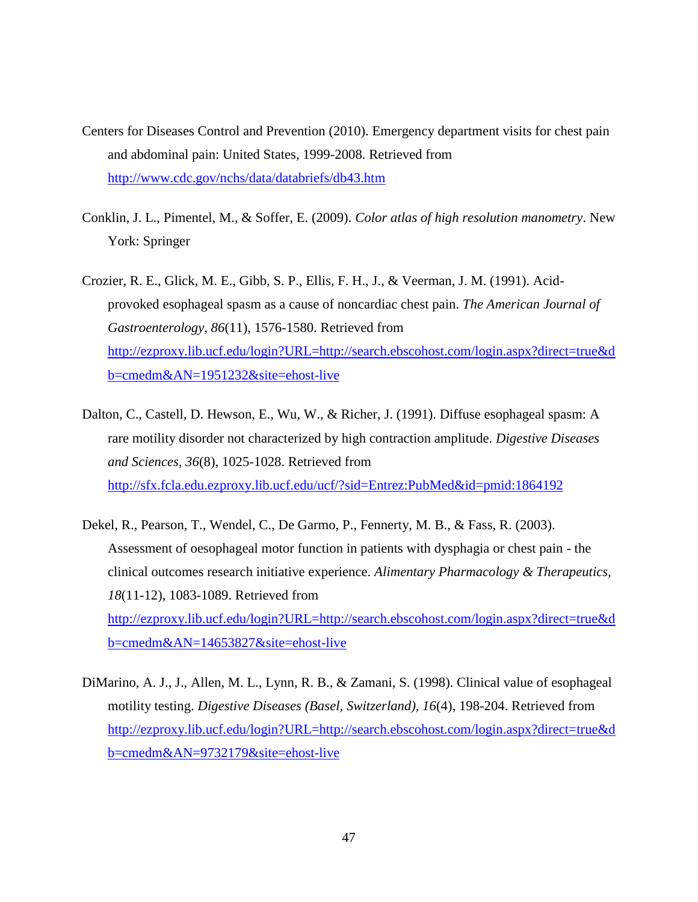- Centers for Diseases Control and Prevention (2010). Emergency department visits for chest pain and abdominal pain: United States, 1999-2008. Retrieved from <http://www.cdc.gov/nchs/data/databriefs/db43.htm>
- Conklin, J. L., Pimentel, M., & Soffer, E. (2009). *Color atlas of high resolution manometry*. New York: Springer
- Crozier, R. E., Glick, M. E., Gibb, S. P., Ellis, F. H., J., & Veerman, J. M. (1991). Acidprovoked esophageal spasm as a cause of noncardiac chest pain. *The American Journal of Gastroenterology, 86*(11), 1576-1580. Retrieved from [http://ezproxy.lib.ucf.edu/login?URL=http://search.ebscohost.com/login.aspx?direct=true&d](http://ezproxy.lib.ucf.edu/login?URL=http://search.ebscohost.com/login.aspx?direct=true&db=cmedm&AN=1951232&site=ehost-live) [b=cmedm&AN=1951232&site=ehost-live](http://ezproxy.lib.ucf.edu/login?URL=http://search.ebscohost.com/login.aspx?direct=true&db=cmedm&AN=1951232&site=ehost-live)
- Dalton, C., Castell, D. Hewson, E., Wu, W., & Richer, J. (1991). Diffuse esophageal spasm: A rare motility disorder not characterized by high contraction amplitude. *Digestive Diseases and Sciences, 36*(8), 1025-1028. Retrieved from <http://sfx.fcla.edu.ezproxy.lib.ucf.edu/ucf/?sid=Entrez:PubMed&id=pmid:1864192>
- Dekel, R., Pearson, T., Wendel, C., De Garmo, P., Fennerty, M. B., & Fass, R. (2003). Assessment of oesophageal motor function in patients with dysphagia or chest pain - the clinical outcomes research initiative experience. *Alimentary Pharmacology & Therapeutics, 18*(11-12), 1083-1089. Retrieved from [http://ezproxy.lib.ucf.edu/login?URL=http://search.ebscohost.com/login.aspx?direct=true&d](http://ezproxy.lib.ucf.edu/login?URL=http://search.ebscohost.com/login.aspx?direct=true&db=cmedm&AN=14653827&site=ehost-live) [b=cmedm&AN=14653827&site=ehost-live](http://ezproxy.lib.ucf.edu/login?URL=http://search.ebscohost.com/login.aspx?direct=true&db=cmedm&AN=14653827&site=ehost-live)
- DiMarino, A. J., J., Allen, M. L., Lynn, R. B., & Zamani, S. (1998). Clinical value of esophageal motility testing. *Digestive Diseases (Basel, Switzerland), 16*(4), 198-204. Retrieved from [http://ezproxy.lib.ucf.edu/login?URL=http://search.ebscohost.com/login.aspx?direct=true&d](http://ezproxy.lib.ucf.edu/login?URL=http://search.ebscohost.com/login.aspx?direct=true&db=cmedm&AN=9732179&site=ehost-live) [b=cmedm&AN=9732179&site=ehost-live](http://ezproxy.lib.ucf.edu/login?URL=http://search.ebscohost.com/login.aspx?direct=true&db=cmedm&AN=9732179&site=ehost-live)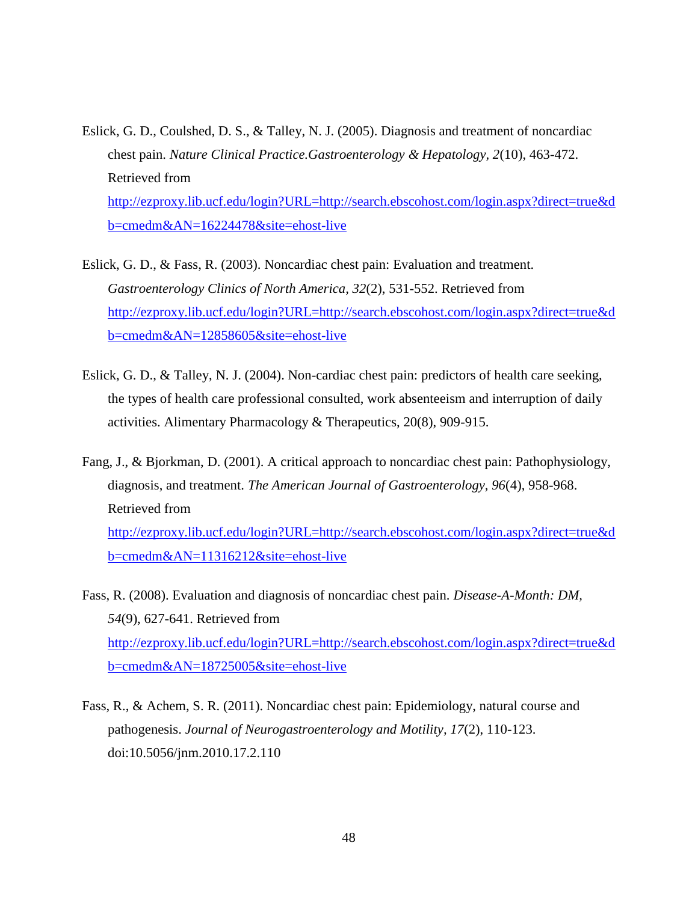- Eslick, G. D., Coulshed, D. S., & Talley, N. J. (2005). Diagnosis and treatment of noncardiac chest pain. *Nature Clinical Practice.Gastroenterology & Hepatology, 2*(10), 463-472. Retrieved from [http://ezproxy.lib.ucf.edu/login?URL=http://search.ebscohost.com/login.aspx?direct=true&d](http://ezproxy.lib.ucf.edu/login?URL=http://search.ebscohost.com/login.aspx?direct=true&db=cmedm&AN=16224478&site=ehost-live) [b=cmedm&AN=16224478&site=ehost-live](http://ezproxy.lib.ucf.edu/login?URL=http://search.ebscohost.com/login.aspx?direct=true&db=cmedm&AN=16224478&site=ehost-live)
- Eslick, G. D., & Fass, R. (2003). Noncardiac chest pain: Evaluation and treatment. *Gastroenterology Clinics of North America, 32*(2), 531-552. Retrieved from [http://ezproxy.lib.ucf.edu/login?URL=http://search.ebscohost.com/login.aspx?direct=true&d](http://ezproxy.lib.ucf.edu/login?URL=http://search.ebscohost.com/login.aspx?direct=true&db=cmedm&AN=12858605&site=ehost-live) [b=cmedm&AN=12858605&site=ehost-live](http://ezproxy.lib.ucf.edu/login?URL=http://search.ebscohost.com/login.aspx?direct=true&db=cmedm&AN=12858605&site=ehost-live)
- Eslick, G. D., & Talley, N. J. (2004). Non-cardiac chest pain: predictors of health care seeking, the types of health care professional consulted, work absenteeism and interruption of daily activities. Alimentary Pharmacology & Therapeutics, 20(8), 909-915.
- Fang, J., & Bjorkman, D. (2001). A critical approach to noncardiac chest pain: Pathophysiology, diagnosis, and treatment. *The American Journal of Gastroenterology, 96*(4), 958-968. Retrieved from [http://ezproxy.lib.ucf.edu/login?URL=http://search.ebscohost.com/login.aspx?direct=true&d](http://ezproxy.lib.ucf.edu/login?URL=http://search.ebscohost.com/login.aspx?direct=true&db=cmedm&AN=11316212&site=ehost-live) [b=cmedm&AN=11316212&site=ehost-live](http://ezproxy.lib.ucf.edu/login?URL=http://search.ebscohost.com/login.aspx?direct=true&db=cmedm&AN=11316212&site=ehost-live)
- Fass, R. (2008). Evaluation and diagnosis of noncardiac chest pain. *Disease-A-Month: DM, 54*(9), 627-641. Retrieved from [http://ezproxy.lib.ucf.edu/login?URL=http://search.ebscohost.com/login.aspx?direct=true&d](http://ezproxy.lib.ucf.edu/login?URL=http://search.ebscohost.com/login.aspx?direct=true&db=cmedm&AN=18725005&site=ehost-live) [b=cmedm&AN=18725005&site=ehost-live](http://ezproxy.lib.ucf.edu/login?URL=http://search.ebscohost.com/login.aspx?direct=true&db=cmedm&AN=18725005&site=ehost-live)
- Fass, R., & Achem, S. R. (2011). Noncardiac chest pain: Epidemiology, natural course and pathogenesis. *Journal of Neurogastroenterology and Motility, 17*(2), 110-123. doi:10.5056/jnm.2010.17.2.110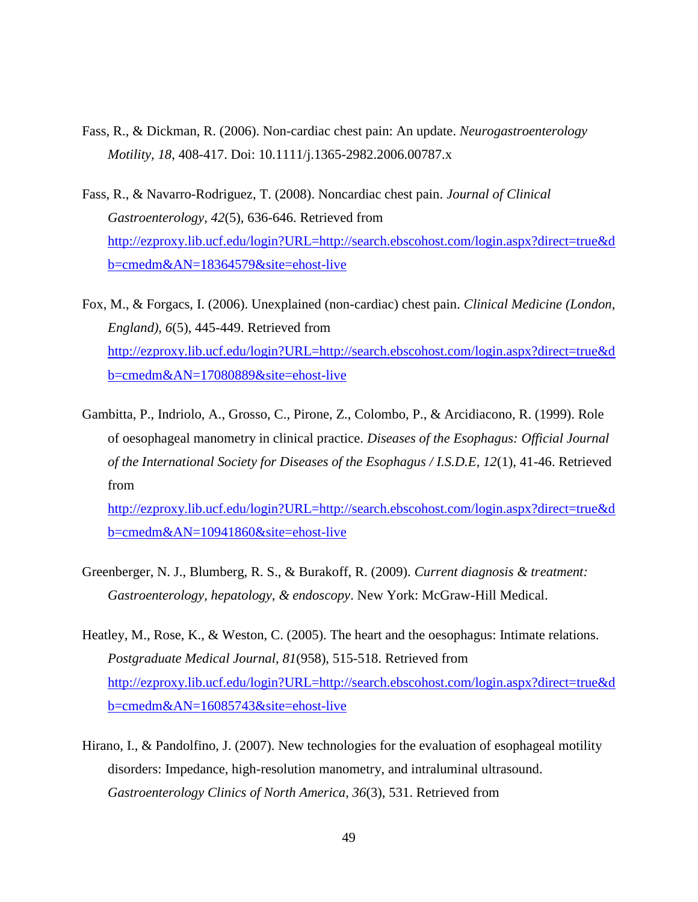- Fass, R., & Dickman, R. (2006). Non-cardiac chest pain: An update. *Neurogastroenterology Motility, 18*, 408-417. Doi: 10.1111/j.1365-2982.2006.00787.x
- Fass, R., & Navarro-Rodriguez, T. (2008). Noncardiac chest pain. *Journal of Clinical Gastroenterology, 42*(5), 636-646. Retrieved from [http://ezproxy.lib.ucf.edu/login?URL=http://search.ebscohost.com/login.aspx?direct=true&d](http://ezproxy.lib.ucf.edu/login?URL=http://search.ebscohost.com/login.aspx?direct=true&db=cmedm&AN=18364579&site=ehost-live) [b=cmedm&AN=18364579&site=ehost-live](http://ezproxy.lib.ucf.edu/login?URL=http://search.ebscohost.com/login.aspx?direct=true&db=cmedm&AN=18364579&site=ehost-live)
- Fox, M., & Forgacs, I. (2006). Unexplained (non-cardiac) chest pain. *Clinical Medicine (London, England), 6*(5), 445-449. Retrieved from [http://ezproxy.lib.ucf.edu/login?URL=http://search.ebscohost.com/login.aspx?direct=true&d](http://ezproxy.lib.ucf.edu/login?URL=http://search.ebscohost.com/login.aspx?direct=true&db=cmedm&AN=17080889&site=ehost-live) [b=cmedm&AN=17080889&site=ehost-live](http://ezproxy.lib.ucf.edu/login?URL=http://search.ebscohost.com/login.aspx?direct=true&db=cmedm&AN=17080889&site=ehost-live)
- Gambitta, P., Indriolo, A., Grosso, C., Pirone, Z., Colombo, P., & Arcidiacono, R. (1999). Role of oesophageal manometry in clinical practice. *Diseases of the Esophagus: Official Journal of the International Society for Diseases of the Esophagus / I.S.D.E, 12*(1), 41-46. Retrieved from

[http://ezproxy.lib.ucf.edu/login?URL=http://search.ebscohost.com/login.aspx?direct=true&d](http://ezproxy.lib.ucf.edu/login?URL=http://search.ebscohost.com/login.aspx?direct=true&db=cmedm&AN=10941860&site=ehost-live) [b=cmedm&AN=10941860&site=ehost-live](http://ezproxy.lib.ucf.edu/login?URL=http://search.ebscohost.com/login.aspx?direct=true&db=cmedm&AN=10941860&site=ehost-live)

- Greenberger, N. J., Blumberg, R. S., & Burakoff, R. (2009). *Current diagnosis & treatment: Gastroenterology, hepatology, & endoscopy*. New York: McGraw-Hill Medical.
- Heatley, M., Rose, K., & Weston, C. (2005). The heart and the oesophagus: Intimate relations. *Postgraduate Medical Journal, 81*(958), 515-518. Retrieved from [http://ezproxy.lib.ucf.edu/login?URL=http://search.ebscohost.com/login.aspx?direct=true&d](http://ezproxy.lib.ucf.edu/login?URL=http://search.ebscohost.com/login.aspx?direct=true&db=cmedm&AN=16085743&site=ehost-live) [b=cmedm&AN=16085743&site=ehost-live](http://ezproxy.lib.ucf.edu/login?URL=http://search.ebscohost.com/login.aspx?direct=true&db=cmedm&AN=16085743&site=ehost-live)
- Hirano, I., & Pandolfino, J. (2007). New technologies for the evaluation of esophageal motility disorders: Impedance, high-resolution manometry, and intraluminal ultrasound. *Gastroenterology Clinics of North America, 36*(3), 531. Retrieved from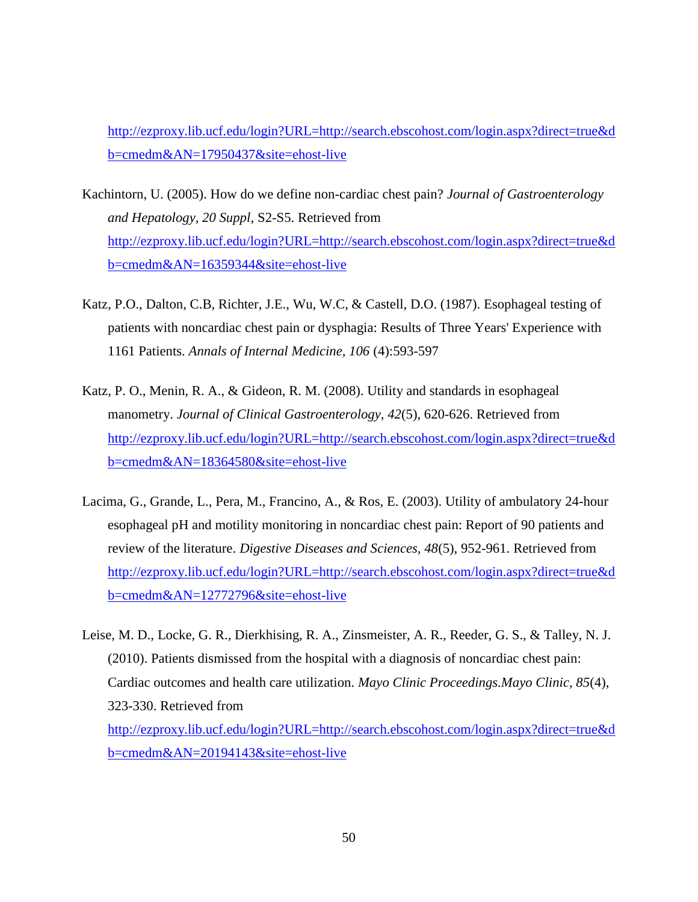[http://ezproxy.lib.ucf.edu/login?URL=http://search.ebscohost.com/login.aspx?direct=true&d](http://ezproxy.lib.ucf.edu/login?URL=http://search.ebscohost.com/login.aspx?direct=true&db=cmedm&AN=17950437&site=ehost-live) [b=cmedm&AN=17950437&site=ehost-live](http://ezproxy.lib.ucf.edu/login?URL=http://search.ebscohost.com/login.aspx?direct=true&db=cmedm&AN=17950437&site=ehost-live)

- Kachintorn, U. (2005). How do we define non-cardiac chest pain? *Journal of Gastroenterology and Hepatology, 20 Suppl*, S2-S5. Retrieved from [http://ezproxy.lib.ucf.edu/login?URL=http://search.ebscohost.com/login.aspx?direct=true&d](http://ezproxy.lib.ucf.edu/login?URL=http://search.ebscohost.com/login.aspx?direct=true&db=cmedm&AN=16359344&site=ehost-live) [b=cmedm&AN=16359344&site=ehost-live](http://ezproxy.lib.ucf.edu/login?URL=http://search.ebscohost.com/login.aspx?direct=true&db=cmedm&AN=16359344&site=ehost-live)
- Katz, P.O., Dalton, C.B, Richter, J.E., Wu, W.C, & Castell, D.O. (1987). Esophageal testing of patients with noncardiac chest pain or dysphagia: Results of Three Years' Experience with 1161 Patients. *Annals of Internal Medicine, 106* (4):593-597
- Katz, P. O., Menin, R. A., & Gideon, R. M. (2008). Utility and standards in esophageal manometry. *Journal of Clinical Gastroenterology, 42*(5), 620-626. Retrieved from [http://ezproxy.lib.ucf.edu/login?URL=http://search.ebscohost.com/login.aspx?direct=true&d](http://ezproxy.lib.ucf.edu/login?URL=http://search.ebscohost.com/login.aspx?direct=true&db=cmedm&AN=18364580&site=ehost-live) [b=cmedm&AN=18364580&site=ehost-live](http://ezproxy.lib.ucf.edu/login?URL=http://search.ebscohost.com/login.aspx?direct=true&db=cmedm&AN=18364580&site=ehost-live)
- Lacima, G., Grande, L., Pera, M., Francino, A., & Ros, E. (2003). Utility of ambulatory 24-hour esophageal pH and motility monitoring in noncardiac chest pain: Report of 90 patients and review of the literature. *Digestive Diseases and Sciences, 48*(5), 952-961. Retrieved from [http://ezproxy.lib.ucf.edu/login?URL=http://search.ebscohost.com/login.aspx?direct=true&d](http://ezproxy.lib.ucf.edu/login?URL=http://search.ebscohost.com/login.aspx?direct=true&db=cmedm&AN=12772796&site=ehost-live) [b=cmedm&AN=12772796&site=ehost-live](http://ezproxy.lib.ucf.edu/login?URL=http://search.ebscohost.com/login.aspx?direct=true&db=cmedm&AN=12772796&site=ehost-live)

Leise, M. D., Locke, G. R., Dierkhising, R. A., Zinsmeister, A. R., Reeder, G. S., & Talley, N. J. (2010). Patients dismissed from the hospital with a diagnosis of noncardiac chest pain: Cardiac outcomes and health care utilization. *Mayo Clinic Proceedings.Mayo Clinic, 85*(4), 323-330. Retrieved from [http://ezproxy.lib.ucf.edu/login?URL=http://search.ebscohost.com/login.aspx?direct=true&d](http://ezproxy.lib.ucf.edu/login?URL=http://search.ebscohost.com/login.aspx?direct=true&db=cmedm&AN=20194143&site=ehost-live) [b=cmedm&AN=20194143&site=ehost-live](http://ezproxy.lib.ucf.edu/login?URL=http://search.ebscohost.com/login.aspx?direct=true&db=cmedm&AN=20194143&site=ehost-live)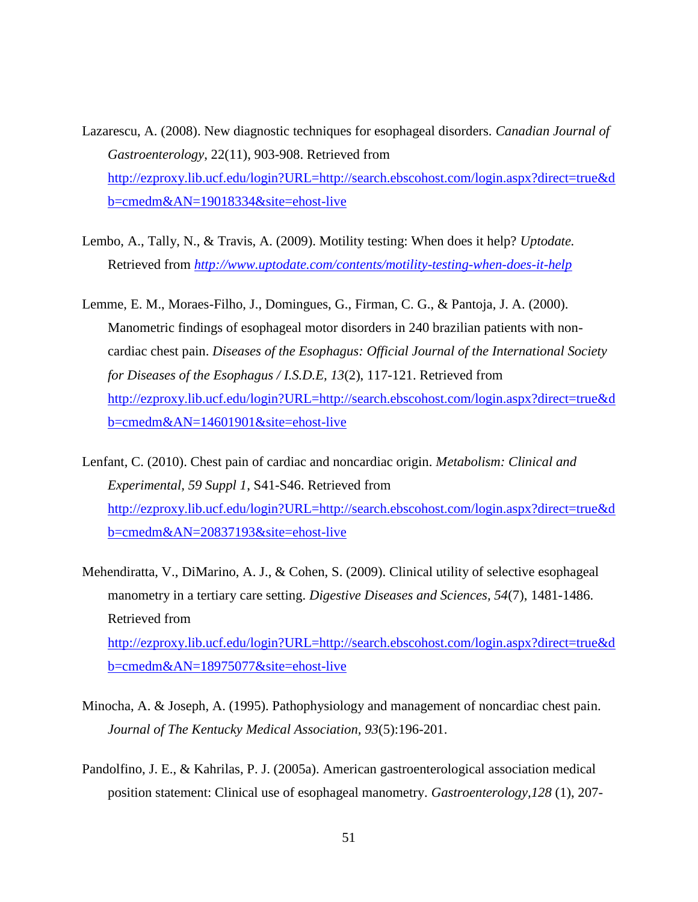- Lazarescu, A. (2008). New diagnostic techniques for esophageal disorders. *Canadian Journal of Gastroenterology*, 22(11), 903-908. Retrieved from [http://ezproxy.lib.ucf.edu/login?URL=http://search.ebscohost.com/login.aspx?direct=true&d](http://ezproxy.lib.ucf.edu/login?URL=http://search.ebscohost.com/login.aspx?direct=true&db=cmedm&AN=19018334&site=ehost-live) [b=cmedm&AN=19018334&site=ehost-live](http://ezproxy.lib.ucf.edu/login?URL=http://search.ebscohost.com/login.aspx?direct=true&db=cmedm&AN=19018334&site=ehost-live)
- Lembo, A., Tally, N., & Travis, A. (2009). Motility testing: When does it help? *Uptodate.* Retrieved from *<http://www.uptodate.com/contents/motility-testing-when-does-it-help>*
- Lemme, E. M., Moraes-Filho, J., Domingues, G., Firman, C. G., & Pantoja, J. A. (2000). Manometric findings of esophageal motor disorders in 240 brazilian patients with noncardiac chest pain. *Diseases of the Esophagus: Official Journal of the International Society for Diseases of the Esophagus / I.S.D.E, 13*(2), 117-121. Retrieved from [http://ezproxy.lib.ucf.edu/login?URL=http://search.ebscohost.com/login.aspx?direct=true&d](http://ezproxy.lib.ucf.edu/login?URL=http://search.ebscohost.com/login.aspx?direct=true&db=cmedm&AN=14601901&site=ehost-live) [b=cmedm&AN=14601901&site=ehost-live](http://ezproxy.lib.ucf.edu/login?URL=http://search.ebscohost.com/login.aspx?direct=true&db=cmedm&AN=14601901&site=ehost-live)
- Lenfant, C. (2010). Chest pain of cardiac and noncardiac origin. *Metabolism: Clinical and Experimental, 59 Suppl 1*, S41-S46. Retrieved from [http://ezproxy.lib.ucf.edu/login?URL=http://search.ebscohost.com/login.aspx?direct=true&d](http://ezproxy.lib.ucf.edu/login?URL=http://search.ebscohost.com/login.aspx?direct=true&db=cmedm&AN=20837193&site=ehost-live) [b=cmedm&AN=20837193&site=ehost-live](http://ezproxy.lib.ucf.edu/login?URL=http://search.ebscohost.com/login.aspx?direct=true&db=cmedm&AN=20837193&site=ehost-live)
- Mehendiratta, V., DiMarino, A. J., & Cohen, S. (2009). Clinical utility of selective esophageal manometry in a tertiary care setting. *Digestive Diseases and Sciences, 54*(7), 1481-1486. Retrieved from [http://ezproxy.lib.ucf.edu/login?URL=http://search.ebscohost.com/login.aspx?direct=true&d](http://ezproxy.lib.ucf.edu/login?URL=http://search.ebscohost.com/login.aspx?direct=true&db=cmedm&AN=18975077&site=ehost-live) [b=cmedm&AN=18975077&site=ehost-live](http://ezproxy.lib.ucf.edu/login?URL=http://search.ebscohost.com/login.aspx?direct=true&db=cmedm&AN=18975077&site=ehost-live)
- Minocha, A. & Joseph, A. (1995). Pathophysiology and management of noncardiac chest pain. *Journal of The Kentucky Medical Association, 93*(5):196-201.
- Pandolfino, J. E., & Kahrilas, P. J. (2005a). American gastroenterological association medical position statement: Clinical use of esophageal manometry. *Gastroenterology,128* (1), 207-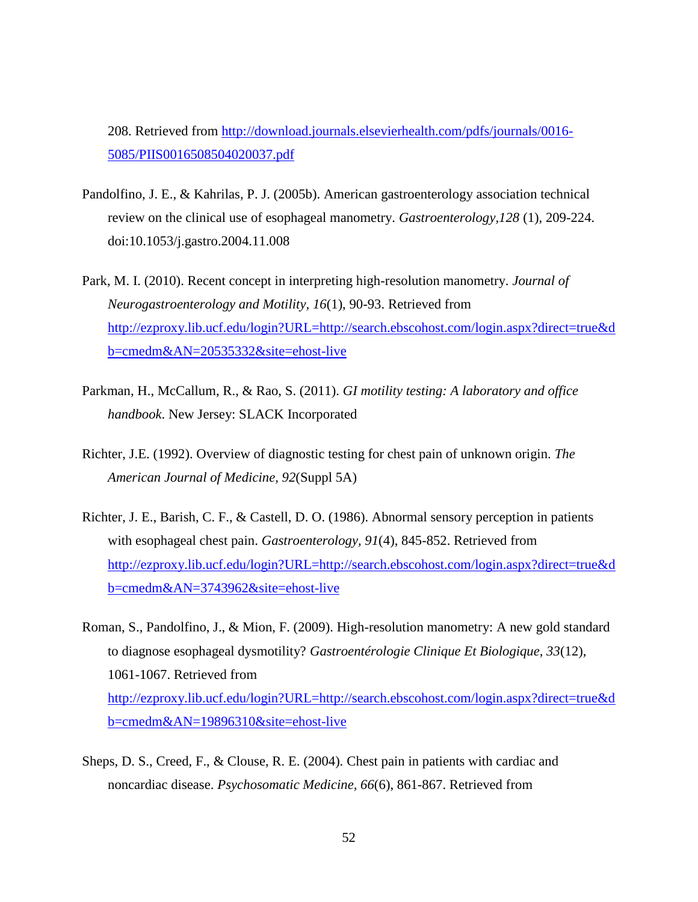208. Retrieved from [http://download.journals.elsevierhealth.com/pdfs/journals/0016-](http://download.journals.elsevierhealth.com/pdfs/journals/0016-5085/PIIS0016508504020037.pdf) [5085/PIIS0016508504020037.pdf](http://download.journals.elsevierhealth.com/pdfs/journals/0016-5085/PIIS0016508504020037.pdf)

- Pandolfino, J. E., & Kahrilas, P. J. (2005b). American gastroenterology association technical review on the clinical use of esophageal manometry. *Gastroenterology,128* (1), 209-224. doi:10.1053/j.gastro.2004.11.008
- Park, M. I. (2010). Recent concept in interpreting high-resolution manometry. *Journal of Neurogastroenterology and Motility, 16*(1), 90-93. Retrieved from [http://ezproxy.lib.ucf.edu/login?URL=http://search.ebscohost.com/login.aspx?direct=true&d](http://ezproxy.lib.ucf.edu/login?URL=http://search.ebscohost.com/login.aspx?direct=true&db=cmedm&AN=20535332&site=ehost-live) [b=cmedm&AN=20535332&site=ehost-live](http://ezproxy.lib.ucf.edu/login?URL=http://search.ebscohost.com/login.aspx?direct=true&db=cmedm&AN=20535332&site=ehost-live)
- Parkman, H., McCallum, R., & Rao, S. (2011). *GI motility testing: A laboratory and office handbook*. New Jersey: SLACK Incorporated
- Richter, J.E. (1992). Overview of diagnostic testing for chest pain of unknown origin. *The American Journal of Medicine, 92*(Suppl 5A)
- Richter, J. E., Barish, C. F., & Castell, D. O. (1986). Abnormal sensory perception in patients with esophageal chest pain. *Gastroenterology, 91*(4), 845-852. Retrieved from [http://ezproxy.lib.ucf.edu/login?URL=http://search.ebscohost.com/login.aspx?direct=true&d](http://ezproxy.lib.ucf.edu/login?URL=http://search.ebscohost.com/login.aspx?direct=true&db=cmedm&AN=3743962&site=ehost-live) [b=cmedm&AN=3743962&site=ehost-live](http://ezproxy.lib.ucf.edu/login?URL=http://search.ebscohost.com/login.aspx?direct=true&db=cmedm&AN=3743962&site=ehost-live)
- Roman, S., Pandolfino, J., & Mion, F. (2009). High-resolution manometry: A new gold standard to diagnose esophageal dysmotility? *Gastroentérologie Clinique Et Biologique, 33*(12), 1061-1067. Retrieved from [http://ezproxy.lib.ucf.edu/login?URL=http://search.ebscohost.com/login.aspx?direct=true&d](http://ezproxy.lib.ucf.edu/login?URL=http://search.ebscohost.com/login.aspx?direct=true&db=cmedm&AN=19896310&site=ehost-live) [b=cmedm&AN=19896310&site=ehost-live](http://ezproxy.lib.ucf.edu/login?URL=http://search.ebscohost.com/login.aspx?direct=true&db=cmedm&AN=19896310&site=ehost-live)
- Sheps, D. S., Creed, F., & Clouse, R. E. (2004). Chest pain in patients with cardiac and noncardiac disease. *Psychosomatic Medicine, 66*(6), 861-867. Retrieved from